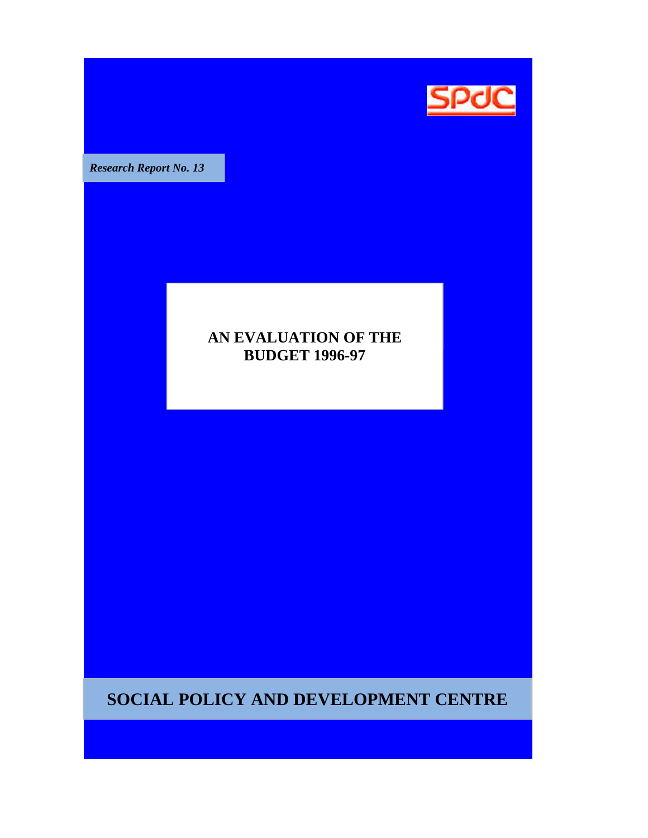

**Research Report No. 13** 

# **AN EVALUATION OF THE BUDGET 1996-97 1996 97**

**SOCIAL POLICY AND DEVELOPMENT CENTRE**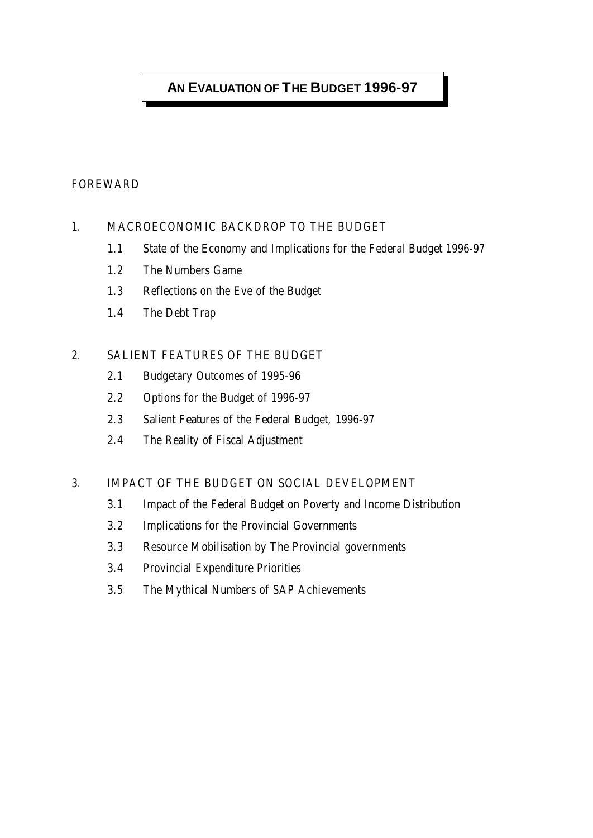# **AN EVALUATION OF THE BUDGET 1996-97**

## FOREWARD

## 1. MACROECONOMIC BACKDROP TO THE BUDGET

- 1.1 State of the Economy and Implications for the Federal Budget 1996-97
- 1.2 The Numbers Game
- 1.3 Reflections on the Eve of the Budget
- 1.4 The Debt Trap

## 2. SALIENT FEATURES OF THE BUDGET

- 2.1 Budgetary Outcomes of 1995-96
- 2.2 Options for the Budget of 1996-97
- 2.3 Salient Features of the Federal Budget, 1996-97
- 2.4 The Reality of Fiscal Adjustment

## 3. IMPACT OF THE BUDGET ON SOCIAL DEVELOPMENT

- 3.1 Impact of the Federal Budget on Poverty and Income Distribution
- 3.2 Implications for the Provincial Governments
- 3.3 Resource Mobilisation by The Provincial governments
- 3.4 Provincial Expenditure Priorities
- 3.5 The Mythical Numbers of SAP Achievements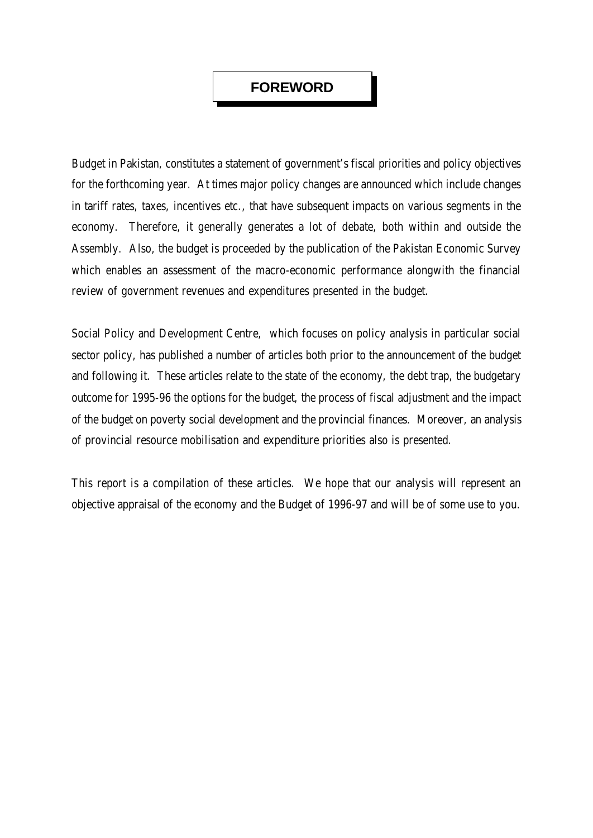## **FOREWORD**

Budget in Pakistan, constitutes a statement of government's fiscal priorities and policy objectives for the forthcoming year. At times major policy changes are announced which include changes in tariff rates, taxes, incentives etc., that have subsequent impacts on various segments in the economy. Therefore, it generally generates a lot of debate, both within and outside the Assembly. Also, the budget is proceeded by the publication of the Pakistan Economic Survey which enables an assessment of the macro-economic performance alongwith the financial review of government revenues and expenditures presented in the budget.

Social Policy and Development Centre, which focuses on policy analysis in particular social sector policy, has published a number of articles both prior to the announcement of the budget and following it. These articles relate to the state of the economy, the debt trap, the budgetary outcome for 1995-96 the options for the budget, the process of fiscal adjustment and the impact of the budget on poverty social development and the provincial finances. Moreover, an analysis of provincial resource mobilisation and expenditure priorities also is presented.

This report is a compilation of these articles. We hope that our analysis will represent an objective appraisal of the economy and the Budget of 1996-97 and will be of some use to you.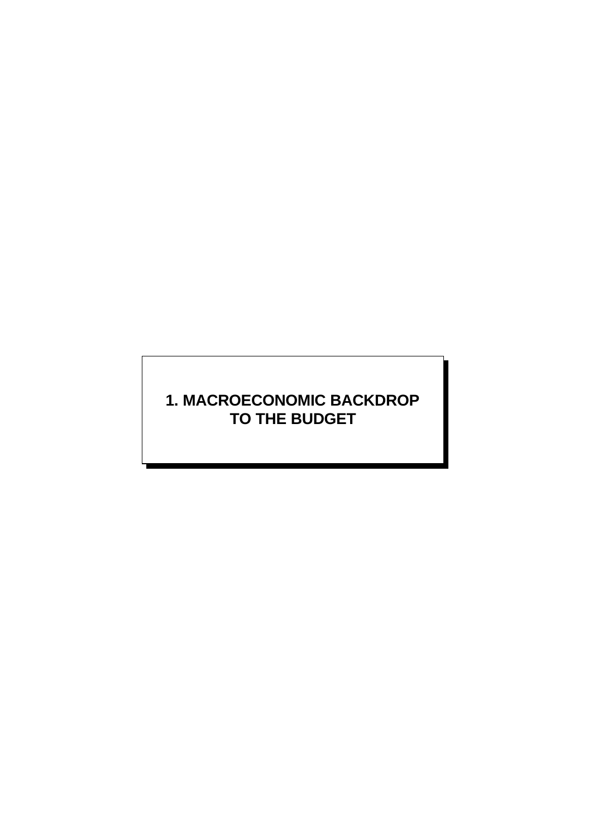# **1. MACROECONOMIC BACKDROP TO THE BUDGET**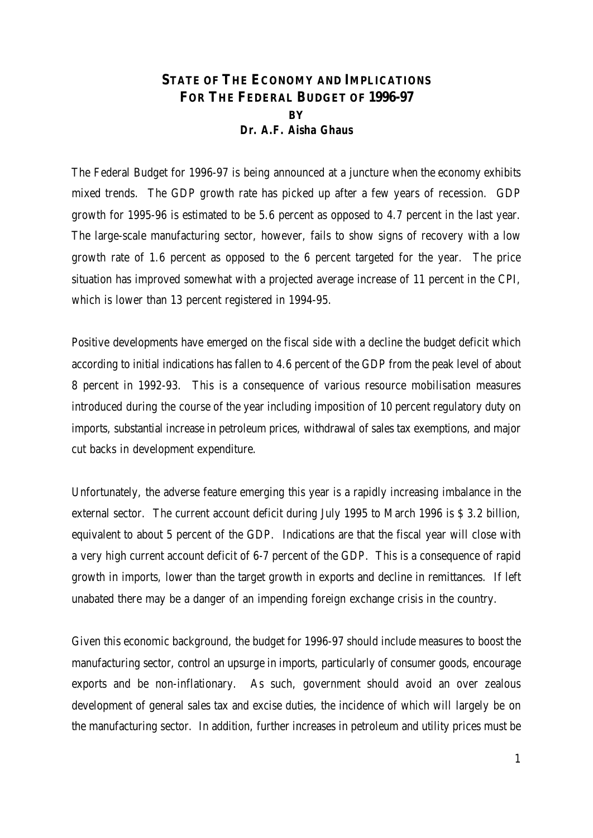## **STATE OF THE ECONOMY AND IMPLICATIONS FOR THE FEDERAL BUDGET OF 1996-97 BY** *Dr. A.F. Aisha Ghaus*

The Federal Budget for 1996-97 is being announced at a juncture when the economy exhibits mixed trends. The GDP growth rate has picked up after a few years of recession. GDP growth for 1995-96 is estimated to be 5.6 percent as opposed to 4.7 percent in the last year. The large-scale manufacturing sector, however, fails to show signs of recovery with a low growth rate of 1.6 percent as opposed to the 6 percent targeted for the year. The price situation has improved somewhat with a projected average increase of 11 percent in the CPI, which is lower than 13 percent registered in 1994-95.

Positive developments have emerged on the fiscal side with a decline the budget deficit which according to initial indications has fallen to 4.6 percent of the GDP from the peak level of about 8 percent in 1992-93. This is a consequence of various resource mobilisation measures introduced during the course of the year including imposition of 10 percent regulatory duty on imports, substantial increase in petroleum prices, withdrawal of sales tax exemptions, and major cut backs in development expenditure.

Unfortunately, the adverse feature emerging this year is a rapidly increasing imbalance in the external sector. The current account deficit during July 1995 to March 1996 is \$ 3.2 billion, equivalent to about 5 percent of the GDP. Indications are that the fiscal year will close with a very high current account deficit of 6-7 percent of the GDP. This is a consequence of rapid growth in imports, lower than the target growth in exports and decline in remittances. If left unabated there may be a danger of an impending foreign exchange crisis in the country.

Given this economic background, the budget for 1996-97 should include measures to boost the manufacturing sector, control an upsurge in imports, particularly of consumer goods, encourage exports and be non-inflationary. As such, government should avoid an over zealous development of general sales tax and excise duties, the incidence of which will largely be on the manufacturing sector. In addition, further increases in petroleum and utility prices must be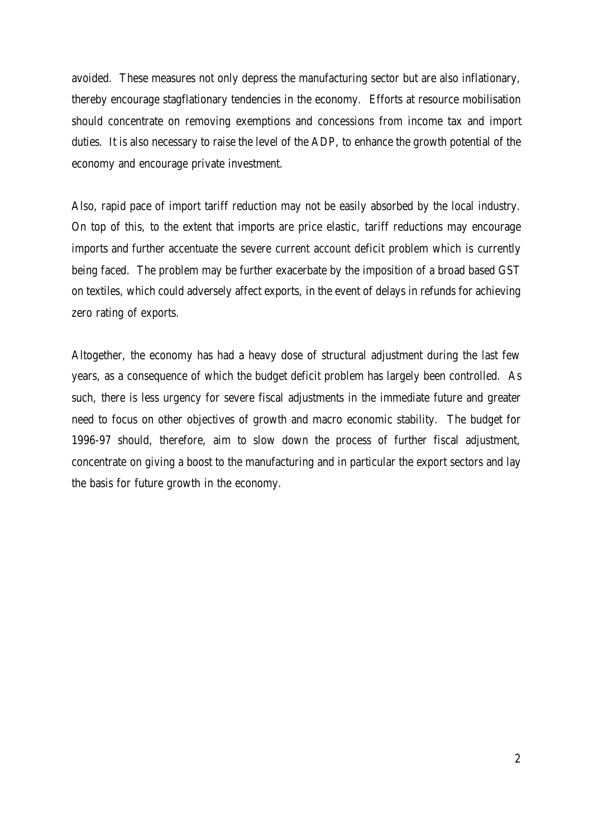avoided. These measures not only depress the manufacturing sector but are also inflationary, thereby encourage stagflationary tendencies in the economy. Efforts at resource mobilisation should concentrate on removing exemptions and concessions from income tax and import duties. It is also necessary to raise the level of the ADP, to enhance the growth potential of the economy and encourage private investment.

Also, rapid pace of import tariff reduction may not be easily absorbed by the local industry. On top of this, to the extent that imports are price elastic, tariff reductions may encourage imports and further accentuate the severe current account deficit problem which is currently being faced. The problem may be further exacerbate by the imposition of a broad based GST on textiles, which could adversely affect exports, in the event of delays in refunds for achieving zero rating of exports.

Altogether, the economy has had a heavy dose of structural adjustment during the last few years, as a consequence of which the budget deficit problem has largely been controlled. As such, there is less urgency for severe fiscal adjustments in the immediate future and greater need to focus on other objectives of growth and macro economic stability. The budget for 1996-97 should, therefore, aim to slow down the process of further fiscal adjustment, concentrate on giving a boost to the manufacturing and in particular the export sectors and lay the basis for future growth in the economy.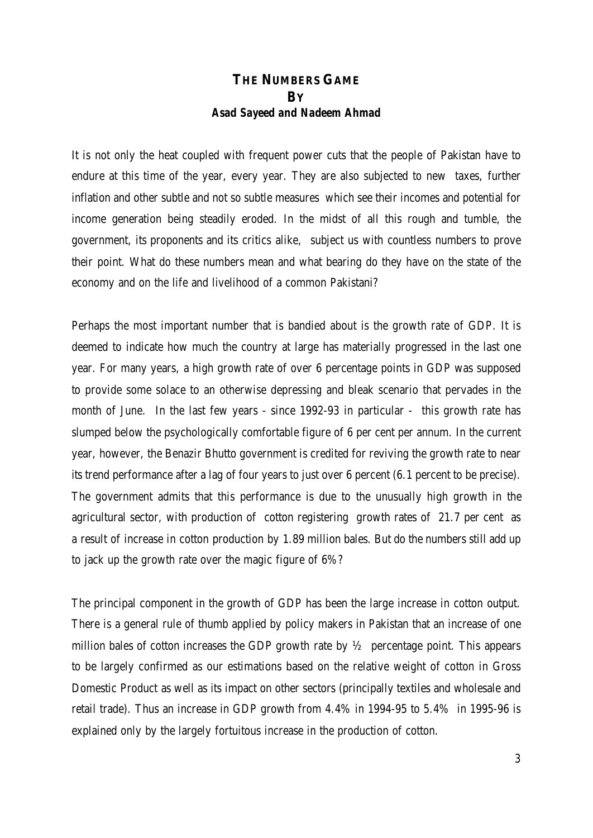## **THE NUMBERS GAME BY** *Asad Sayeed and Nadeem Ahmad*

It is not only the heat coupled with frequent power cuts that the people of Pakistan have to endure at this time of the year, every year. They are also subjected to new taxes, further inflation and other subtle and not so subtle measures which see their incomes and potential for income generation being steadily eroded. In the midst of all this rough and tumble, the government, its proponents and its critics alike, subject us with countless numbers to prove their point. What do these numbers mean and what bearing do they have on the state of the economy and on the life and livelihood of a common Pakistani?

Perhaps the most important number that is bandied about is the growth rate of GDP. It is deemed to indicate how much the country at large has materially progressed in the last one year. For many years, a high growth rate of over 6 percentage points in GDP was supposed to provide some solace to an otherwise depressing and bleak scenario that pervades in the month of June. In the last few years - since 1992-93 in particular - this growth rate has slumped below the psychologically comfortable figure of 6 per cent per annum. In the current year, however, the Benazir Bhutto government is credited for reviving the growth rate to near its trend performance after a lag of four years to just over 6 percent (6.1 percent to be precise). The government admits that this performance is due to the unusually high growth in the agricultural sector, with production of cotton registering growth rates of 21.7 per cent as a result of increase in cotton production by 1.89 million bales. But do the numbers still add up to jack up the growth rate over the magic figure of 6%?

The principal component in the growth of GDP has been the large increase in cotton output. There is a general rule of thumb applied by policy makers in Pakistan that an increase of one million bales of cotton increases the GDP growth rate by  $\frac{1}{2}$  percentage point. This appears to be largely confirmed as our estimations based on the relative weight of cotton in Gross Domestic Product as well as its impact on other sectors (principally textiles and wholesale and retail trade). Thus an increase in GDP growth from 4.4% in 1994-95 to 5.4% in 1995-96 is explained only by the largely fortuitous increase in the production of cotton.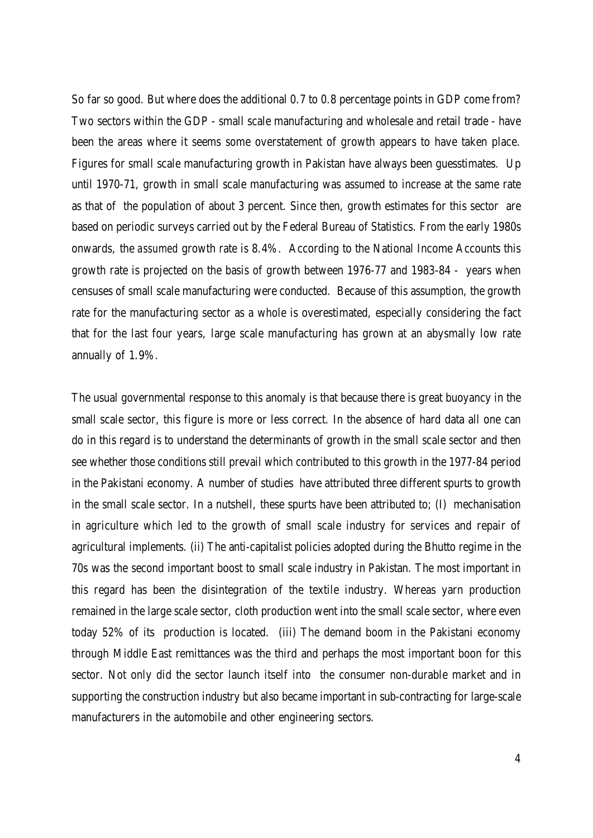So far so good. But where does the additional 0.7 to 0.8 percentage points in GDP come from? Two sectors within the GDP - small scale manufacturing and wholesale and retail trade - have been the areas where it seems some overstatement of growth appears to have taken place. Figures for small scale manufacturing growth in Pakistan have always been guesstimates. Up until 1970-71, growth in small scale manufacturing was assumed to increase at the same rate as that of the population of about 3 percent. Since then, growth estimates for this sector are based on periodic surveys carried out by the Federal Bureau of Statistics. From the early 1980s onwards, the *assumed* growth rate is 8.4%. According to the National Income Accounts this growth rate is projected on the basis of growth between 1976-77 and 1983-84 - years when censuses of small scale manufacturing were conducted. Because of this assumption, the growth rate for the manufacturing sector as a whole is overestimated, especially considering the fact that for the last four years, large scale manufacturing has grown at an abysmally low rate annually of 1.9%.

The usual governmental response to this anomaly is that because there is great buoyancy in the small scale sector, this figure is more or less correct. In the absence of hard data all one can do in this regard is to understand the determinants of growth in the small scale sector and then see whether those conditions still prevail which contributed to this growth in the 1977-84 period in the Pakistani economy. A number of studies have attributed three different spurts to growth in the small scale sector. In a nutshell, these spurts have been attributed to; (I) mechanisation in agriculture which led to the growth of small scale industry for services and repair of agricultural implements. (ii) The anti-capitalist policies adopted during the Bhutto regime in the 70s was the second important boost to small scale industry in Pakistan. The most important in this regard has been the disintegration of the textile industry. Whereas yarn production remained in the large scale sector, cloth production went into the small scale sector, where even today 52% of its production is located. (iii) The demand boom in the Pakistani economy through Middle East remittances was the third and perhaps the most important boon for this sector. Not only did the sector launch itself into the consumer non-durable market and in supporting the construction industry but also became important in sub-contracting for large-scale manufacturers in the automobile and other engineering sectors.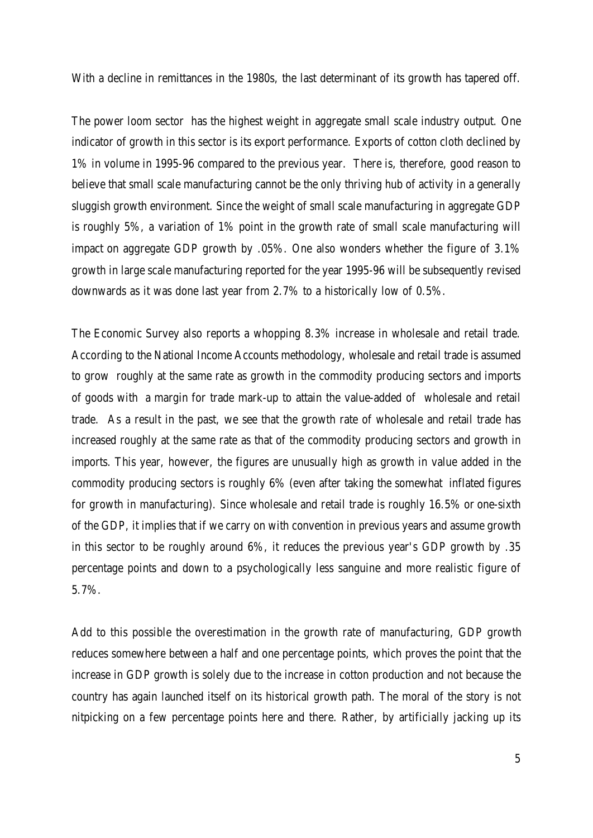With a decline in remittances in the 1980s, the last determinant of its growth has tapered off.

The power loom sector has the highest weight in aggregate small scale industry output. One indicator of growth in this sector is its export performance. Exports of cotton cloth declined by 1% in volume in 1995-96 compared to the previous year. There is, therefore, good reason to believe that small scale manufacturing cannot be the only thriving hub of activity in a generally sluggish growth environment. Since the weight of small scale manufacturing in aggregate GDP is roughly 5%, a variation of 1% point in the growth rate of small scale manufacturing will impact on aggregate GDP growth by .05%. One also wonders whether the figure of 3.1% growth in large scale manufacturing reported for the year 1995-96 will be subsequently revised downwards as it was done last year from 2.7% to a historically low of 0.5%.

The Economic Survey also reports a whopping 8.3% increase in wholesale and retail trade. According to the National Income Accounts methodology, wholesale and retail trade is assumed to grow roughly at the same rate as growth in the commodity producing sectors and imports of goods with a margin for trade mark-up to attain the value-added of wholesale and retail trade. As a result in the past, we see that the growth rate of wholesale and retail trade has increased roughly at the same rate as that of the commodity producing sectors and growth in imports. This year, however, the figures are unusually high as growth in value added in the commodity producing sectors is roughly 6% (even after taking the somewhat inflated figures for growth in manufacturing). Since wholesale and retail trade is roughly 16.5% or one-sixth of the GDP, it implies that if we carry on with convention in previous years and assume growth in this sector to be roughly around 6%, it reduces the previous year's GDP growth by .35 percentage points and down to a psychologically less sanguine and more realistic figure of 5.7%.

Add to this possible the overestimation in the growth rate of manufacturing, GDP growth reduces somewhere between a half and one percentage points, which proves the point that the increase in GDP growth is solely due to the increase in cotton production and not because the country has again launched itself on its historical growth path. The moral of the story is not nitpicking on a few percentage points here and there. Rather, by artificially jacking up its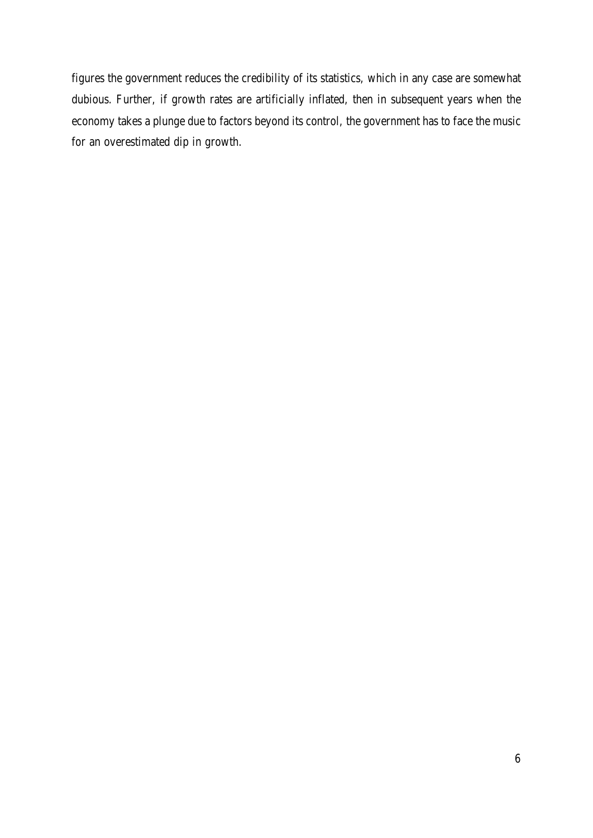figures the government reduces the credibility of its statistics, which in any case are somewhat dubious. Further, if growth rates are artificially inflated, then in subsequent years when the economy takes a plunge due to factors beyond its control, the government has to face the music for an overestimated dip in growth.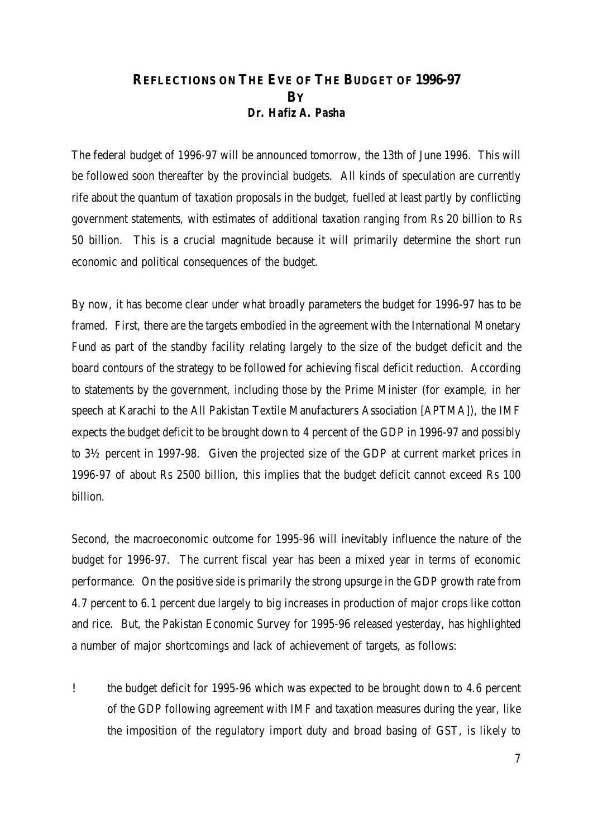## **REFLECTIONS ON THE EVE OF THE BUDGET OF 1996-97 BY** *Dr. Hafiz A. Pasha*

The federal budget of 1996-97 will be announced tomorrow, the 13th of June 1996. This will be followed soon thereafter by the provincial budgets. All kinds of speculation are currently rife about the quantum of taxation proposals in the budget, fuelled at least partly by conflicting government statements, with estimates of additional taxation ranging from Rs 20 billion to Rs 50 billion. This is a crucial magnitude because it will primarily determine the short run economic and political consequences of the budget.

By now, it has become clear under what broadly parameters the budget for 1996-97 has to be framed. First, there are the targets embodied in the agreement with the International Monetary Fund as part of the standby facility relating largely to the size of the budget deficit and the board contours of the strategy to be followed for achieving fiscal deficit reduction. According to statements by the government, including those by the Prime Minister (for example, in her speech at Karachi to the All Pakistan Textile Manufacturers Association [APTMA]), the IMF expects the budget deficit to be brought down to 4 percent of the GDP in 1996-97 and possibly to 3½ percent in 1997-98. Given the projected size of the GDP at current market prices in 1996-97 of about Rs 2500 billion, this implies that the budget deficit cannot exceed Rs 100 billion.

Second, the macroeconomic outcome for 1995-96 will inevitably influence the nature of the budget for 1996-97. The current fiscal year has been a mixed year in terms of economic performance. On the positive side is primarily the strong upsurge in the GDP growth rate from 4.7 percent to 6.1 percent due largely to big increases in production of major crops like cotton and rice. But, the Pakistan Economic Survey for 1995-96 released yesterday, has highlighted a number of major shortcomings and lack of achievement of targets, as follows:

! the budget deficit for 1995-96 which was expected to be brought down to 4.6 percent of the GDP following agreement with IMF and taxation measures during the year, like the imposition of the regulatory import duty and broad basing of GST, is likely to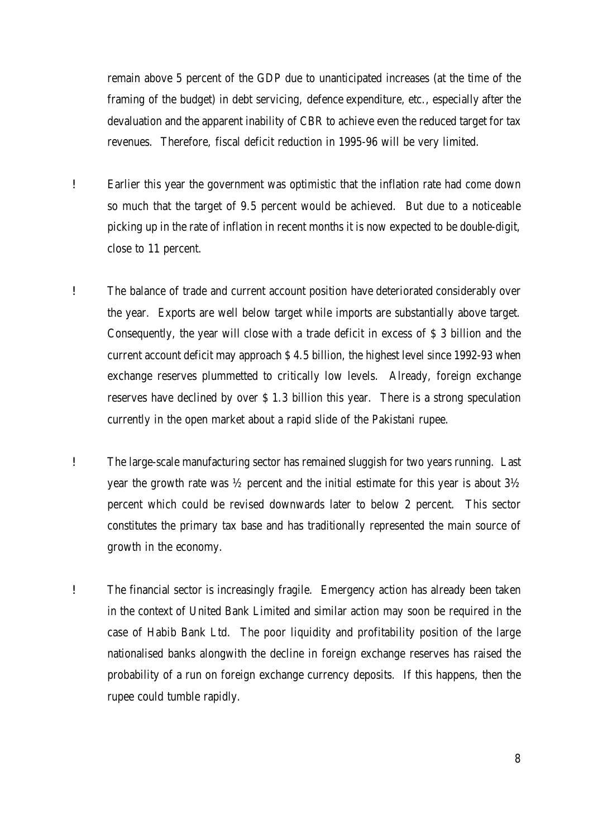remain above 5 percent of the GDP due to unanticipated increases (at the time of the framing of the budget) in debt servicing, defence expenditure, etc., especially after the devaluation and the apparent inability of CBR to achieve even the reduced target for tax revenues. Therefore, fiscal deficit reduction in 1995-96 will be very limited.

- ! Earlier this year the government was optimistic that the inflation rate had come down so much that the target of 9.5 percent would be achieved. But due to a noticeable picking up in the rate of inflation in recent months it is now expected to be double-digit, close to 11 percent.
- ! The balance of trade and current account position have deteriorated considerably over the year. Exports are well below target while imports are substantially above target. Consequently, the year will close with a trade deficit in excess of \$ 3 billion and the current account deficit may approach \$ 4.5 billion, the highest level since 1992-93 when exchange reserves plummetted to critically low levels. Already, foreign exchange reserves have declined by over \$ 1.3 billion this year. There is a strong speculation currently in the open market about a rapid slide of the Pakistani rupee.
- ! The large-scale manufacturing sector has remained sluggish for two years running. Last year the growth rate was ½ percent and the initial estimate for this year is about 3½ percent which could be revised downwards later to below 2 percent. This sector constitutes the primary tax base and has traditionally represented the main source of growth in the economy.
- ! The financial sector is increasingly fragile. Emergency action has already been taken in the context of United Bank Limited and similar action may soon be required in the case of Habib Bank Ltd. The poor liquidity and profitability position of the large nationalised banks alongwith the decline in foreign exchange reserves has raised the probability of a run on foreign exchange currency deposits. If this happens, then the rupee could tumble rapidly.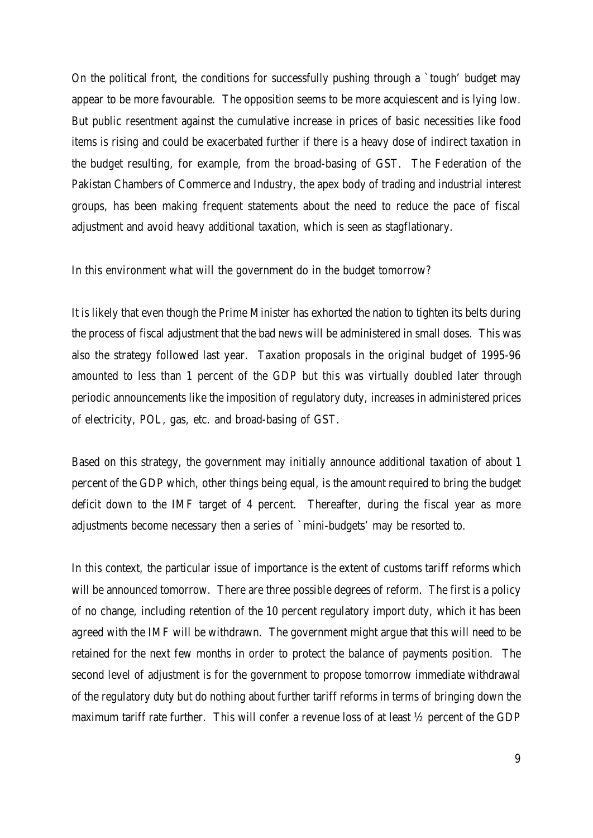On the political front, the conditions for successfully pushing through a `tough' budget may appear to be more favourable. The opposition seems to be more acquiescent and is lying low. But public resentment against the cumulative increase in prices of basic necessities like food items is rising and could be exacerbated further if there is a heavy dose of indirect taxation in the budget resulting, for example, from the broad-basing of GST. The Federation of the Pakistan Chambers of Commerce and Industry, the apex body of trading and industrial interest groups, has been making frequent statements about the need to reduce the pace of fiscal adjustment and avoid heavy additional taxation, which is seen as stagflationary.

In this environment what will the government do in the budget tomorrow?

It is likely that even though the Prime Minister has exhorted the nation to tighten its belts during the process of fiscal adjustment that the bad news will be administered in small doses. This was also the strategy followed last year. Taxation proposals in the original budget of 1995-96 amounted to less than 1 percent of the GDP but this was virtually doubled later through periodic announcements like the imposition of regulatory duty, increases in administered prices of electricity, POL, gas, etc. and broad-basing of GST.

Based on this strategy, the government may initially announce additional taxation of about 1 percent of the GDP which, other things being equal, is the amount required to bring the budget deficit down to the IMF target of 4 percent. Thereafter, during the fiscal year as more adjustments become necessary then a series of `mini-budgets' may be resorted to.

In this context, the particular issue of importance is the extent of customs tariff reforms which will be announced tomorrow. There are three possible degrees of reform. The first is a policy of no change, including retention of the 10 percent regulatory import duty, which it has been agreed with the IMF will be withdrawn. The government might argue that this will need to be retained for the next few months in order to protect the balance of payments position. The second level of adjustment is for the government to propose tomorrow immediate withdrawal of the regulatory duty but do nothing about further tariff reforms in terms of bringing down the maximum tariff rate further. This will confer a revenue loss of at least ½ percent of the GDP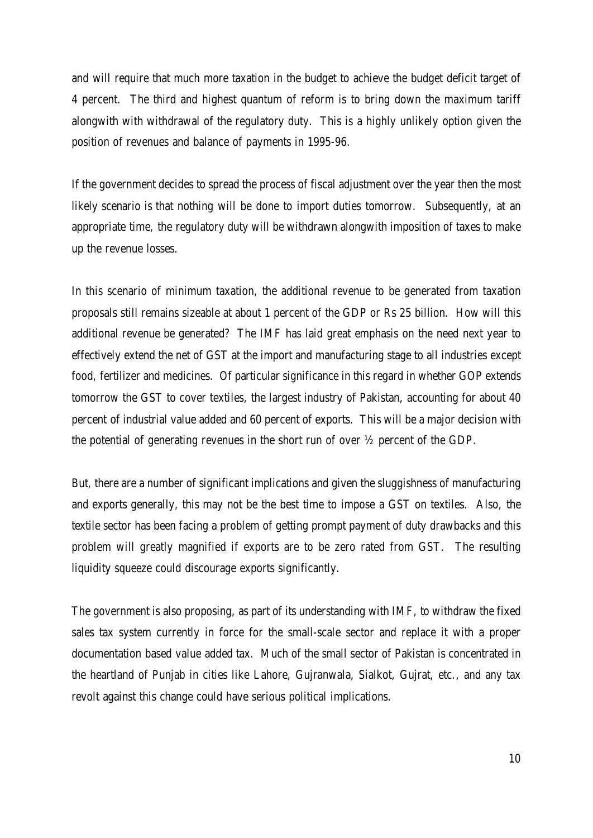and will require that much more taxation in the budget to achieve the budget deficit target of 4 percent. The third and highest quantum of reform is to bring down the maximum tariff alongwith with withdrawal of the regulatory duty. This is a highly unlikely option given the position of revenues and balance of payments in 1995-96.

If the government decides to spread the process of fiscal adjustment over the year then the most likely scenario is that nothing will be done to import duties tomorrow. Subsequently, at an appropriate time, the regulatory duty will be withdrawn alongwith imposition of taxes to make up the revenue losses.

In this scenario of minimum taxation, the additional revenue to be generated from taxation proposals still remains sizeable at about 1 percent of the GDP or Rs 25 billion. How will this additional revenue be generated? The IMF has laid great emphasis on the need next year to effectively extend the net of GST at the import and manufacturing stage to all industries except food, fertilizer and medicines. Of particular significance in this regard in whether GOP extends tomorrow the GST to cover textiles, the largest industry of Pakistan, accounting for about 40 percent of industrial value added and 60 percent of exports. This will be a major decision with the potential of generating revenues in the short run of over ½ percent of the GDP.

But, there are a number of significant implications and given the sluggishness of manufacturing and exports generally, this may not be the best time to impose a GST on textiles. Also, the textile sector has been facing a problem of getting prompt payment of duty drawbacks and this problem will greatly magnified if exports are to be zero rated from GST. The resulting liquidity squeeze could discourage exports significantly.

The government is also proposing, as part of its understanding with IMF, to withdraw the fixed sales tax system currently in force for the small-scale sector and replace it with a proper documentation based value added tax. Much of the small sector of Pakistan is concentrated in the heartland of Punjab in cities like Lahore, Gujranwala, Sialkot, Gujrat, etc., and any tax revolt against this change could have serious political implications.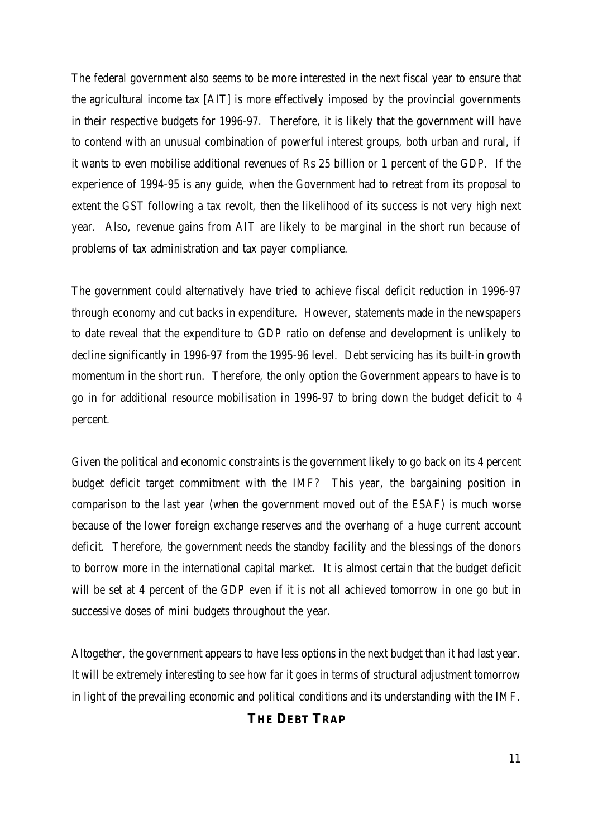The federal government also seems to be more interested in the next fiscal year to ensure that the agricultural income tax [AIT] is more effectively imposed by the provincial governments in their respective budgets for 1996-97. Therefore, it is likely that the government will have to contend with an unusual combination of powerful interest groups, both urban and rural, if it wants to even mobilise additional revenues of Rs 25 billion or 1 percent of the GDP. If the experience of 1994-95 is any guide, when the Government had to retreat from its proposal to extent the GST following a tax revolt, then the likelihood of its success is not very high next year. Also, revenue gains from AIT are likely to be marginal in the short run because of problems of tax administration and tax payer compliance.

The government could alternatively have tried to achieve fiscal deficit reduction in 1996-97 through economy and cut backs in expenditure. However, statements made in the newspapers to date reveal that the expenditure to GDP ratio on defense and development is unlikely to decline significantly in 1996-97 from the 1995-96 level. Debt servicing has its built-in growth momentum in the short run. Therefore, the only option the Government appears to have is to go in for additional resource mobilisation in 1996-97 to bring down the budget deficit to 4 percent.

Given the political and economic constraints is the government likely to go back on its 4 percent budget deficit target commitment with the IMF? This year, the bargaining position in comparison to the last year (when the government moved out of the ESAF) is much worse because of the lower foreign exchange reserves and the overhang of a huge current account deficit. Therefore, the government needs the standby facility and the blessings of the donors to borrow more in the international capital market. It is almost certain that the budget deficit will be set at 4 percent of the GDP even if it is not all achieved tomorrow in one go but in successive doses of mini budgets throughout the year.

Altogether, the government appears to have less options in the next budget than it had last year. It will be extremely interesting to see how far it goes in terms of structural adjustment tomorrow in light of the prevailing economic and political conditions and its understanding with the IMF.

## **THE DEBT TRAP**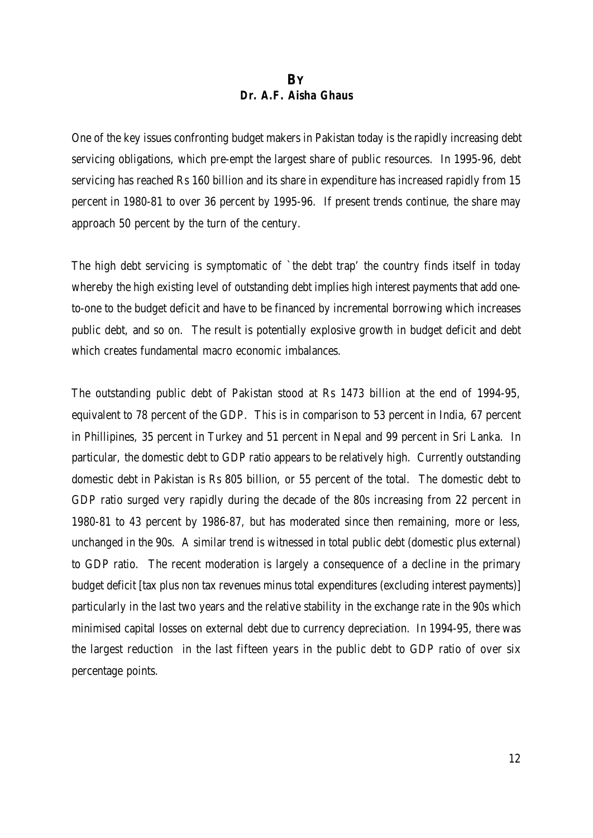## **BY** *Dr. A.F. Aisha Ghaus*

One of the key issues confronting budget makers in Pakistan today is the rapidly increasing debt servicing obligations, which pre-empt the largest share of public resources. In 1995-96, debt servicing has reached Rs 160 billion and its share in expenditure has increased rapidly from 15 percent in 1980-81 to over 36 percent by 1995-96. If present trends continue, the share may approach 50 percent by the turn of the century.

The high debt servicing is symptomatic of `the debt trap' the country finds itself in today whereby the high existing level of outstanding debt implies high interest payments that add oneto-one to the budget deficit and have to be financed by incremental borrowing which increases public debt, and so on. The result is potentially explosive growth in budget deficit and debt which creates fundamental macro economic imbalances.

The outstanding public debt of Pakistan stood at Rs 1473 billion at the end of 1994-95, equivalent to 78 percent of the GDP. This is in comparison to 53 percent in India, 67 percent in Phillipines, 35 percent in Turkey and 51 percent in Nepal and 99 percent in Sri Lanka. In particular, the domestic debt to GDP ratio appears to be relatively high. Currently outstanding domestic debt in Pakistan is Rs 805 billion, or 55 percent of the total. The domestic debt to GDP ratio surged very rapidly during the decade of the 80s increasing from 22 percent in 1980-81 to 43 percent by 1986-87, but has moderated since then remaining, more or less, unchanged in the 90s. A similar trend is witnessed in total public debt (domestic plus external) to GDP ratio. The recent moderation is largely a consequence of a decline in the primary budget deficit [tax plus non tax revenues minus total expenditures (excluding interest payments)] particularly in the last two years and the relative stability in the exchange rate in the 90s which minimised capital losses on external debt due to currency depreciation. In 1994-95, there was the largest reduction in the last fifteen years in the public debt to GDP ratio of over six percentage points.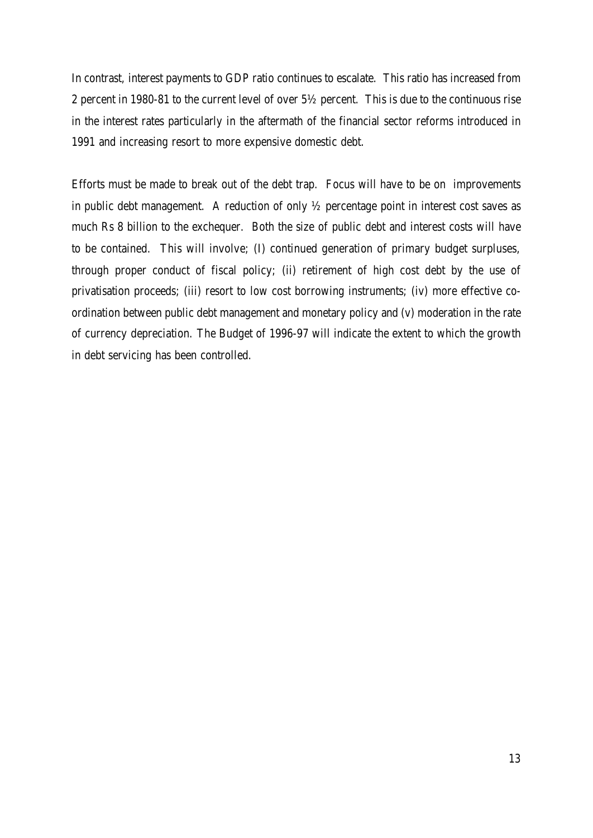In contrast, interest payments to GDP ratio continues to escalate. This ratio has increased from 2 percent in 1980-81 to the current level of over 5½ percent. This is due to the continuous rise in the interest rates particularly in the aftermath of the financial sector reforms introduced in 1991 and increasing resort to more expensive domestic debt.

Efforts must be made to break out of the debt trap. Focus will have to be on improvements in public debt management. A reduction of only  $\frac{1}{2}$  percentage point in interest cost saves as much Rs 8 billion to the exchequer. Both the size of public debt and interest costs will have to be contained. This will involve; (I) continued generation of primary budget surpluses, through proper conduct of fiscal policy; (ii) retirement of high cost debt by the use of privatisation proceeds; (iii) resort to low cost borrowing instruments; (iv) more effective coordination between public debt management and monetary policy and (v) moderation in the rate of currency depreciation. The Budget of 1996-97 will indicate the extent to which the growth in debt servicing has been controlled.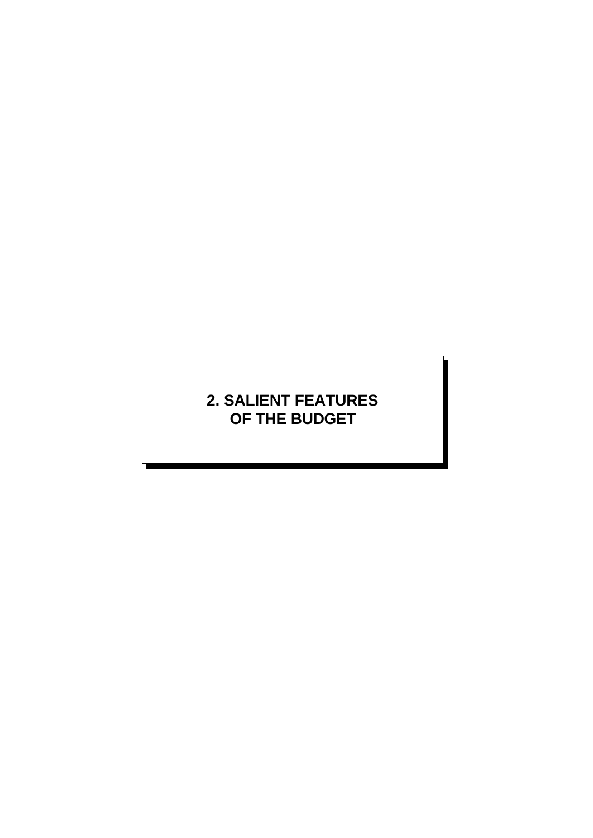# **2. SALIENT FEATURES OF THE BUDGET**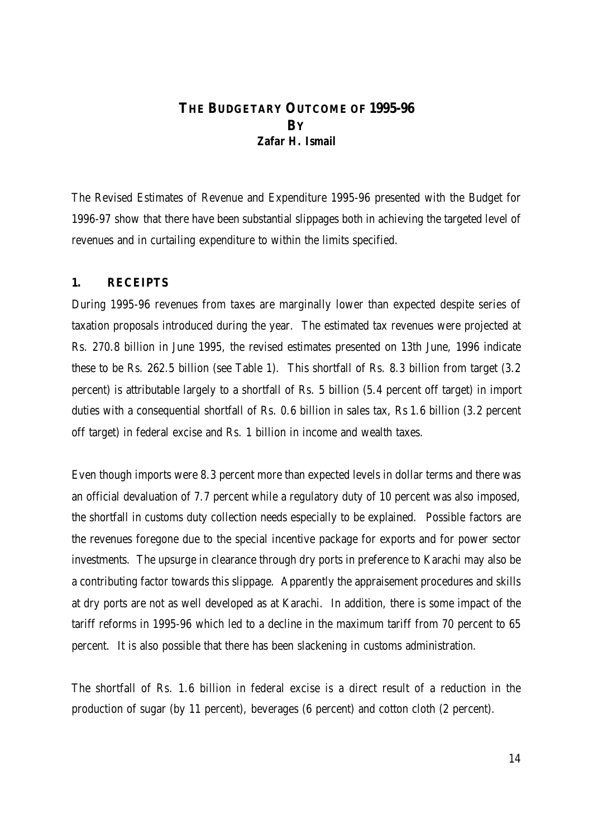## **THE BUDGETARY OUTCOME OF 1995-96 BY** *Zafar H. Ismail*

The Revised Estimates of Revenue and Expenditure 1995-96 presented with the Budget for 1996-97 show that there have been substantial slippages both in achieving the targeted level of revenues and in curtailing expenditure to within the limits specified.

#### **1. RECEIPTS**

During 1995-96 revenues from taxes are marginally lower than expected despite series of taxation proposals introduced during the year. The estimated tax revenues were projected at Rs. 270.8 billion in June 1995, the revised estimates presented on 13th June, 1996 indicate these to be Rs. 262.5 billion (see Table 1). This shortfall of Rs. 8.3 billion from target (3.2 percent) is attributable largely to a shortfall of Rs. 5 billion (5.4 percent off target) in import duties with a consequential shortfall of Rs. 0.6 billion in sales tax, Rs 1.6 billion (3.2 percent off target) in federal excise and Rs. 1 billion in income and wealth taxes.

Even though imports were 8.3 percent more than expected levels in dollar terms and there was an official devaluation of 7.7 percent while a regulatory duty of 10 percent was also imposed, the shortfall in customs duty collection needs especially to be explained. Possible factors are the revenues foregone due to the special incentive package for exports and for power sector investments. The upsurge in clearance through dry ports in preference to Karachi may also be a contributing factor towards this slippage. Apparently the appraisement procedures and skills at dry ports are not as well developed as at Karachi. In addition, there is some impact of the tariff reforms in 1995-96 which led to a decline in the maximum tariff from 70 percent to 65 percent. It is also possible that there has been slackening in customs administration.

The shortfall of Rs. 1.6 billion in federal excise is a direct result of a reduction in the production of sugar (by 11 percent), beverages (6 percent) and cotton cloth (2 percent).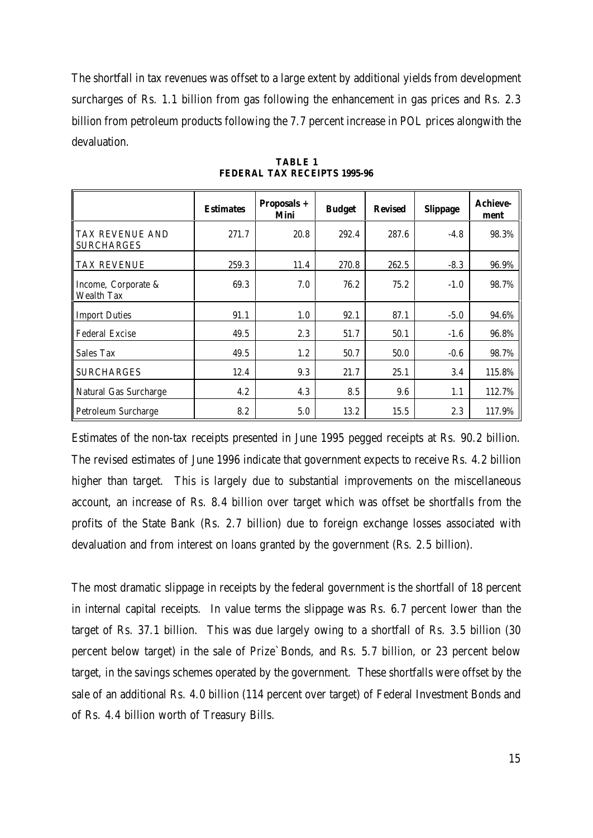The shortfall in tax revenues was offset to a large extent by additional yields from development surcharges of Rs. 1.1 billion from gas following the enhancement in gas prices and Rs. 2.3 billion from petroleum products following the 7.7 percent increase in POL prices alongwith the devaluation.

|                                      | <b>Estimates</b> | Proposals +<br>Mini | <b>Budget</b> | <b>Revised</b> | <b>Slippage</b> | <b>Achieve-</b><br>ment |
|--------------------------------------|------------------|---------------------|---------------|----------------|-----------------|-------------------------|
| TAX REVENUE AND<br><b>SURCHARGES</b> | 271.7            | 20.8                | 292.4         | 287.6          | $-4.8$          | 98.3%                   |
| TAX REVENUE                          | 259.3            | 11.4                | 270.8         | 262.5          | $-8.3$          | 96.9%                   |
| Income, Corporate &<br>Wealth Tax    | 69.3             | 7.0                 | 76.2          | 75.2           | $-1.0$          | 98.7%                   |
| <b>Import Duties</b>                 | 91.1             | 1.0                 | 92.1          | 87.1           | $-5.0$          | 94.6%                   |
| <b>Federal Excise</b>                | 49.5             | 2.3                 | 51.7          | 50.1           | $-1.6$          | 96.8%                   |
| Sales Tax                            | 49.5             | 1.2                 | 50.7          | 50.0           | $-0.6$          | 98.7%                   |
| <b>SURCHARGES</b>                    | 12.4             | 9.3                 | 21.7          | 25.1           | 3.4             | 115.8%                  |
| Natural Gas Surcharge                | 4.2              | 4.3                 | 8.5           | 9.6            | 1.1             | 112.7%                  |
| <b>Petroleum Surcharge</b>           | 8.2              | 5.0                 | 13.2          | 15.5           | 2.3             | 117.9%                  |

**TABLE 1 FEDERAL TAX RECEIPTS 1995-96**

Estimates of the non-tax receipts presented in June 1995 pegged receipts at Rs. 90.2 billion. The revised estimates of June 1996 indicate that government expects to receive Rs. 4.2 billion higher than target. This is largely due to substantial improvements on the miscellaneous account, an increase of Rs. 8.4 billion over target which was offset be shortfalls from the profits of the State Bank (Rs. 2.7 billion) due to foreign exchange losses associated with devaluation and from interest on loans granted by the government (Rs. 2.5 billion).

The most dramatic slippage in receipts by the federal government is the shortfall of 18 percent in internal capital receipts. In value terms the slippage was Rs. 6.7 percent lower than the target of Rs. 37.1 billion. This was due largely owing to a shortfall of Rs. 3.5 billion (30 percent below target) in the sale of Prize`Bonds, and Rs. 5.7 billion, or 23 percent below target, in the savings schemes operated by the government. These shortfalls were offset by the sale of an additional Rs. 4.0 billion (114 percent over target) of Federal Investment Bonds and of Rs. 4.4 billion worth of Treasury Bills.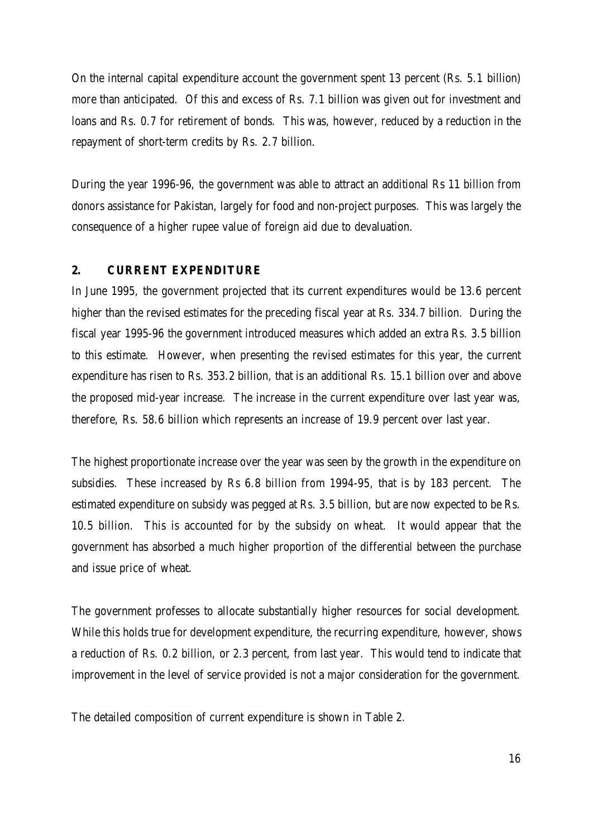On the internal capital expenditure account the government spent 13 percent (Rs. 5.1 billion) more than anticipated. Of this and excess of Rs. 7.1 billion was given out for investment and loans and Rs. 0.7 for retirement of bonds. This was, however, reduced by a reduction in the repayment of short-term credits by Rs. 2.7 billion.

During the year 1996-96, the government was able to attract an additional Rs 11 billion from donors assistance for Pakistan, largely for food and non-project purposes. This was largely the consequence of a higher rupee value of foreign aid due to devaluation.

#### **2. CURRENT EXPENDITURE**

In June 1995, the government projected that its current expenditures would be 13.6 percent higher than the revised estimates for the preceding fiscal year at Rs. 334.7 billion. During the fiscal year 1995-96 the government introduced measures which added an extra Rs. 3.5 billion to this estimate. However, when presenting the revised estimates for this year, the current expenditure has risen to Rs. 353.2 billion, that is an additional Rs. 15.1 billion over and above the proposed mid-year increase. The increase in the current expenditure over last year was, therefore, Rs. 58.6 billion which represents an increase of 19.9 percent over last year.

The highest proportionate increase over the year was seen by the growth in the expenditure on subsidies. These increased by Rs 6.8 billion from 1994-95, that is by 183 percent. The estimated expenditure on subsidy was pegged at Rs. 3.5 billion, but are now expected to be Rs. 10.5 billion. This is accounted for by the subsidy on wheat. It would appear that the government has absorbed a much higher proportion of the differential between the purchase and issue price of wheat.

The government professes to allocate substantially higher resources for social development. While this holds true for development expenditure, the recurring expenditure, however, shows a reduction of Rs. 0.2 billion, or 2.3 percent, from last year. This would tend to indicate that improvement in the level of service provided is not a major consideration for the government.

The detailed composition of current expenditure is shown in Table 2.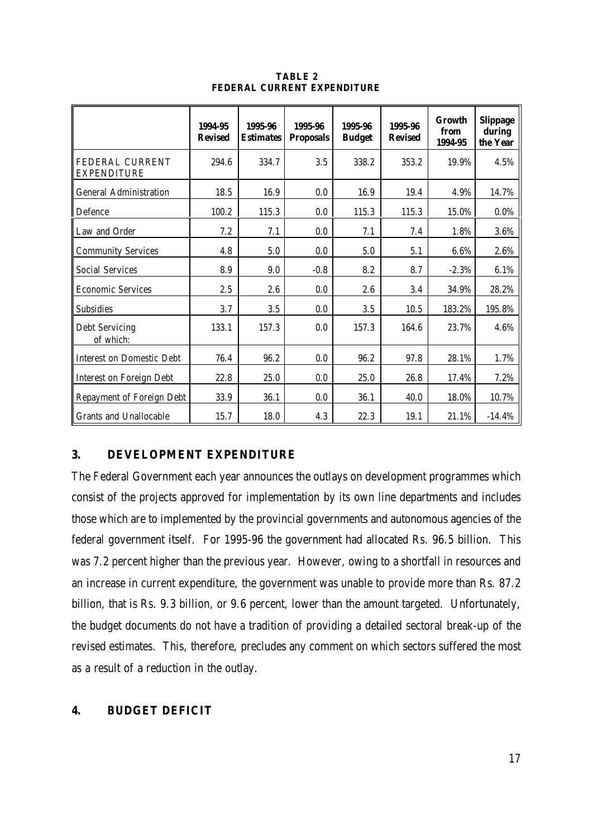|                                       | 1994-95<br><b>Revised</b> | 1995-96<br><b>Estimates</b> | 1995-96<br><b>Proposals</b> | 1995-96<br><b>Budget</b> | 1995-96<br><b>Revised</b> | Growth<br>from<br>1994-95 | <b>Slippage</b><br>during<br>the Year |
|---------------------------------------|---------------------------|-----------------------------|-----------------------------|--------------------------|---------------------------|---------------------------|---------------------------------------|
| FEDERAL CURRENT<br><b>EXPENDITURE</b> | 294.6                     | 334.7                       | 3.5                         | 338.2                    | 353.2                     | 19.9%                     | 4.5%                                  |
| <b>General Administration</b>         | 18.5                      | 16.9                        | 0.0                         | 16.9                     | 19.4                      | 4.9%                      | 14.7%                                 |
| Defence                               | 100.2                     | 115.3                       | 0.0                         | 115.3                    | 115.3                     | 15.0%                     | 0.0%                                  |
| Law and Order                         | 7.2                       | 7.1                         | 0.0                         | 7.1                      | 7.4                       | 1.8%                      | 3.6%                                  |
| <b>Community Services</b>             | 4.8                       | 5.0                         | 0.0                         | 5.0                      | 5.1                       | 6.6%                      | 2.6%                                  |
| <b>Social Services</b>                | 8.9                       | 9.0                         | $-0.8$                      | 8.2                      | 8.7                       | $-2.3%$                   | 6.1%                                  |
| <b>Economic Services</b>              | 2.5                       | 2.6                         | 0.0                         | 2.6                      | 3.4                       | 34.9%                     | 28.2%                                 |
| <b>Subsidies</b>                      | 3.7                       | 3.5                         | 0.0                         | 3.5                      | 10.5                      | 183.2%                    | 195.8%                                |
| <b>Debt Servicing</b><br>of which:    | 133.1                     | 157.3                       | 0.0                         | 157.3                    | 164.6                     | 23.7%                     | 4.6%                                  |
| <b>Interest on Domestic Debt</b>      | 76.4                      | 96.2                        | 0.0                         | 96.2                     | 97.8                      | 28.1%                     | 1.7%                                  |
| <b>Interest on Foreign Debt</b>       | 22.8                      | 25.0                        | 0.0                         | 25.0                     | 26.8                      | 17.4%                     | 7.2%                                  |
| Repayment of Foreign Debt             | 33.9                      | 36.1                        | 0.0                         | 36.1                     | 40.0                      | 18.0%                     | 10.7%                                 |
| <b>Grants and Unallocable</b>         | 15.7                      | 18.0                        | 4.3                         | 22.3                     | 19.1                      | 21.1%                     | $-14.4%$                              |

**TABLE 2 FEDERAL CURRENT EXPENDITURE**

## **3. DEVELOPMENT EXPENDITURE**

The Federal Government each year announces the outlays on development programmes which consist of the projects approved for implementation by its own line departments and includes those which are to implemented by the provincial governments and autonomous agencies of the federal government itself. For 1995-96 the government had allocated Rs. 96.5 billion. This was 7.2 percent higher than the previous year. However, owing to a shortfall in resources and an increase in current expenditure, the government was unable to provide more than Rs. 87.2 billion, that is Rs. 9.3 billion, or 9.6 percent, lower than the amount targeted. Unfortunately, the budget documents do not have a tradition of providing a detailed sectoral break-up of the revised estimates. This, therefore, precludes any comment on which sectors suffered the most as a result of a reduction in the outlay.

#### **4. BUDGET DEFICIT**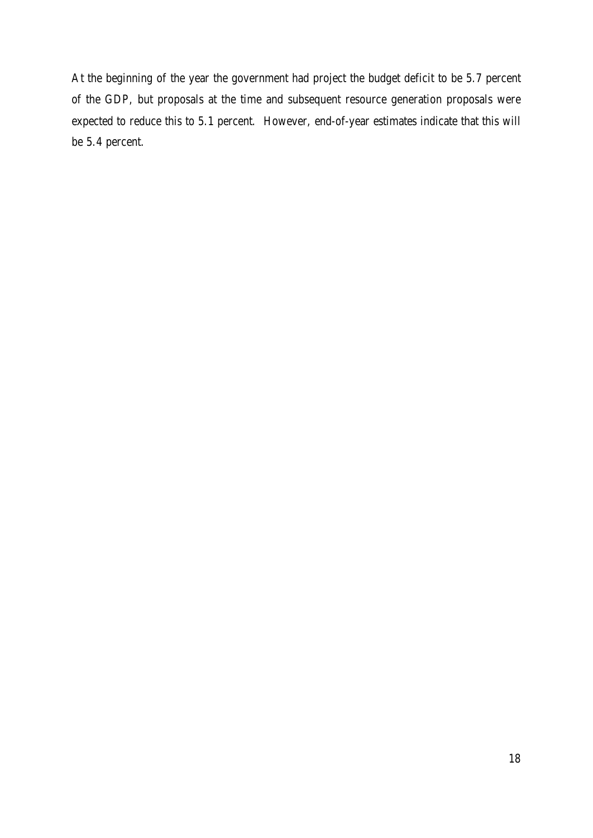At the beginning of the year the government had project the budget deficit to be 5.7 percent of the GDP, but proposals at the time and subsequent resource generation proposals were expected to reduce this to 5.1 percent. However, end-of-year estimates indicate that this will be 5.4 percent.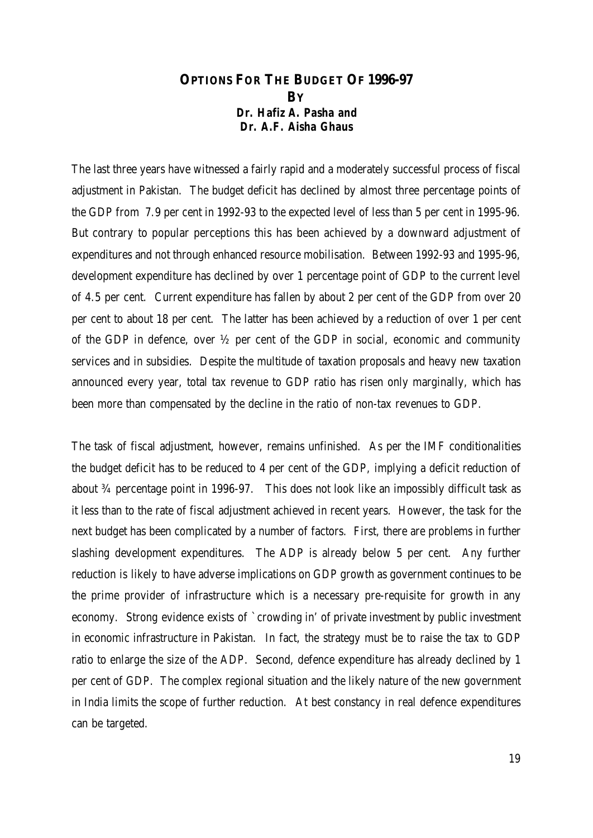## **OPTIONS FOR THE BUDGET OF 1996-97 BY** *Dr. Hafiz A. Pasha and Dr. A.F. Aisha Ghaus*

The last three years have witnessed a fairly rapid and a moderately successful process of fiscal adjustment in Pakistan. The budget deficit has declined by almost three percentage points of the GDP from 7.9 per cent in 1992-93 to the expected level of less than 5 per cent in 1995-96. But contrary to popular perceptions this has been achieved by a downward adjustment of expenditures and not through enhanced resource mobilisation. Between 1992-93 and 1995-96, development expenditure has declined by over 1 percentage point of GDP to the current level of 4.5 per cent. Current expenditure has fallen by about 2 per cent of the GDP from over 20 per cent to about 18 per cent. The latter has been achieved by a reduction of over 1 per cent of the GDP in defence, over ½ per cent of the GDP in social, economic and community services and in subsidies. Despite the multitude of taxation proposals and heavy new taxation announced every year, total tax revenue to GDP ratio has risen only marginally, which has been more than compensated by the decline in the ratio of non-tax revenues to GDP.

The task of fiscal adjustment, however, remains unfinished. As per the IMF conditionalities the budget deficit has to be reduced to 4 per cent of the GDP, implying a deficit reduction of about ¾ percentage point in 1996-97. This does not look like an impossibly difficult task as it less than to the rate of fiscal adjustment achieved in recent years. However, the task for the next budget has been complicated by a number of factors. First, there are problems in further slashing development expenditures. The ADP is already below 5 per cent. Any further reduction is likely to have adverse implications on GDP growth as government continues to be the prime provider of infrastructure which is a necessary pre-requisite for growth in any economy. Strong evidence exists of `crowding in' of private investment by public investment in economic infrastructure in Pakistan. In fact, the strategy must be to raise the tax to GDP ratio to enlarge the size of the ADP. Second, defence expenditure has already declined by 1 per cent of GDP. The complex regional situation and the likely nature of the new government in India limits the scope of further reduction. At best constancy in real defence expenditures can be targeted.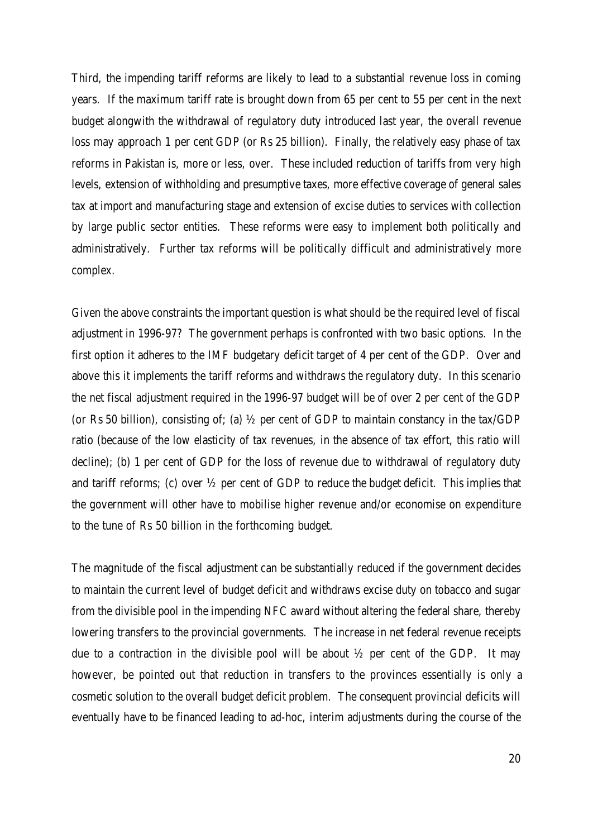Third, the impending tariff reforms are likely to lead to a substantial revenue loss in coming years. If the maximum tariff rate is brought down from 65 per cent to 55 per cent in the next budget alongwith the withdrawal of regulatory duty introduced last year, the overall revenue loss may approach 1 per cent GDP (or Rs 25 billion). Finally, the relatively easy phase of tax reforms in Pakistan is, more or less, over. These included reduction of tariffs from very high levels, extension of withholding and presumptive taxes, more effective coverage of general sales tax at import and manufacturing stage and extension of excise duties to services with collection by large public sector entities. These reforms were easy to implement both politically and administratively. Further tax reforms will be politically difficult and administratively more complex.

Given the above constraints the important question is what should be the required level of fiscal adjustment in 1996-97? The government perhaps is confronted with two basic options. In the first option it adheres to the IMF budgetary deficit target of 4 per cent of the GDP. Over and above this it implements the tariff reforms and withdraws the regulatory duty. In this scenario the net fiscal adjustment required in the 1996-97 budget will be of over 2 per cent of the GDP (or Rs 50 billion), consisting of; (a)  $\frac{1}{2}$  per cent of GDP to maintain constancy in the tax/GDP ratio (because of the low elasticity of tax revenues, in the absence of tax effort, this ratio will decline); (b) 1 per cent of GDP for the loss of revenue due to withdrawal of regulatory duty and tariff reforms; (c) over  $\frac{1}{2}$  per cent of GDP to reduce the budget deficit. This implies that the government will other have to mobilise higher revenue and/or economise on expenditure to the tune of Rs 50 billion in the forthcoming budget.

The magnitude of the fiscal adjustment can be substantially reduced if the government decides to maintain the current level of budget deficit and withdraws excise duty on tobacco and sugar from the divisible pool in the impending NFC award without altering the federal share, thereby lowering transfers to the provincial governments. The increase in net federal revenue receipts due to a contraction in the divisible pool will be about ½ per cent of the GDP. It may however, be pointed out that reduction in transfers to the provinces essentially is only a cosmetic solution to the overall budget deficit problem. The consequent provincial deficits will eventually have to be financed leading to ad-hoc, interim adjustments during the course of the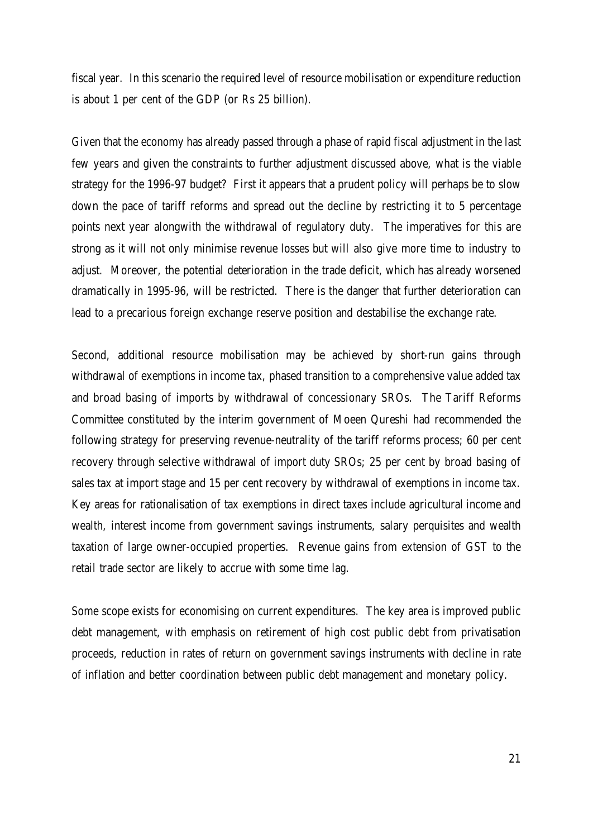fiscal year. In this scenario the required level of resource mobilisation or expenditure reduction is about 1 per cent of the GDP (or Rs 25 billion).

Given that the economy has already passed through a phase of rapid fiscal adjustment in the last few years and given the constraints to further adjustment discussed above, what is the viable strategy for the 1996-97 budget? First it appears that a prudent policy will perhaps be to slow down the pace of tariff reforms and spread out the decline by restricting it to 5 percentage points next year alongwith the withdrawal of regulatory duty. The imperatives for this are strong as it will not only minimise revenue losses but will also give more time to industry to adjust. Moreover, the potential deterioration in the trade deficit, which has already worsened dramatically in 1995-96, will be restricted. There is the danger that further deterioration can lead to a precarious foreign exchange reserve position and destabilise the exchange rate.

Second, additional resource mobilisation may be achieved by short-run gains through withdrawal of exemptions in income tax, phased transition to a comprehensive value added tax and broad basing of imports by withdrawal of concessionary SROs. The Tariff Reforms Committee constituted by the interim government of Moeen Qureshi had recommended the following strategy for preserving revenue-neutrality of the tariff reforms process; 60 per cent recovery through selective withdrawal of import duty SROs; 25 per cent by broad basing of sales tax at import stage and 15 per cent recovery by withdrawal of exemptions in income tax. Key areas for rationalisation of tax exemptions in direct taxes include agricultural income and wealth, interest income from government savings instruments, salary perquisites and wealth taxation of large owner-occupied properties. Revenue gains from extension of GST to the retail trade sector are likely to accrue with some time lag.

Some scope exists for economising on current expenditures. The key area is improved public debt management, with emphasis on retirement of high cost public debt from privatisation proceeds, reduction in rates of return on government savings instruments with decline in rate of inflation and better coordination between public debt management and monetary policy.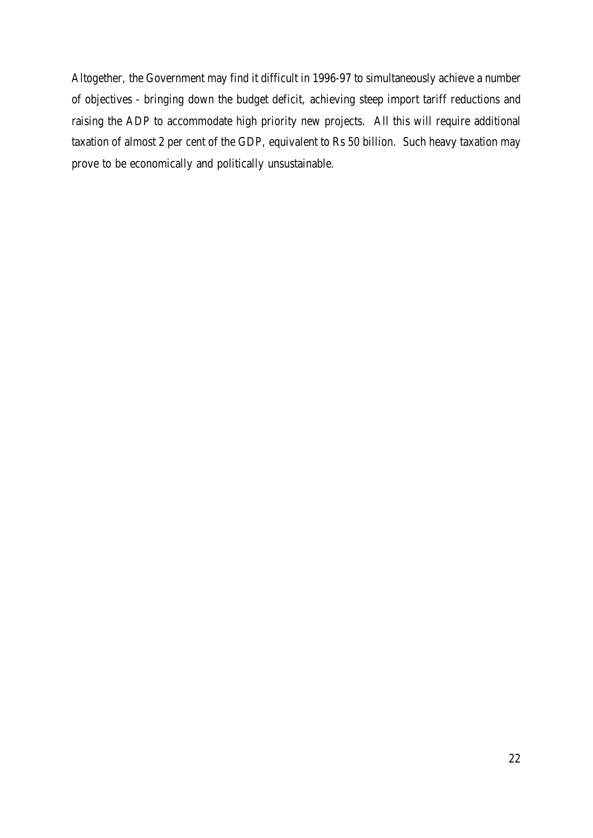Altogether, the Government may find it difficult in 1996-97 to simultaneously achieve a number of objectives - bringing down the budget deficit, achieving steep import tariff reductions and raising the ADP to accommodate high priority new projects. All this will require additional taxation of almost 2 per cent of the GDP, equivalent to Rs 50 billion. Such heavy taxation may prove to be economically and politically unsustainable.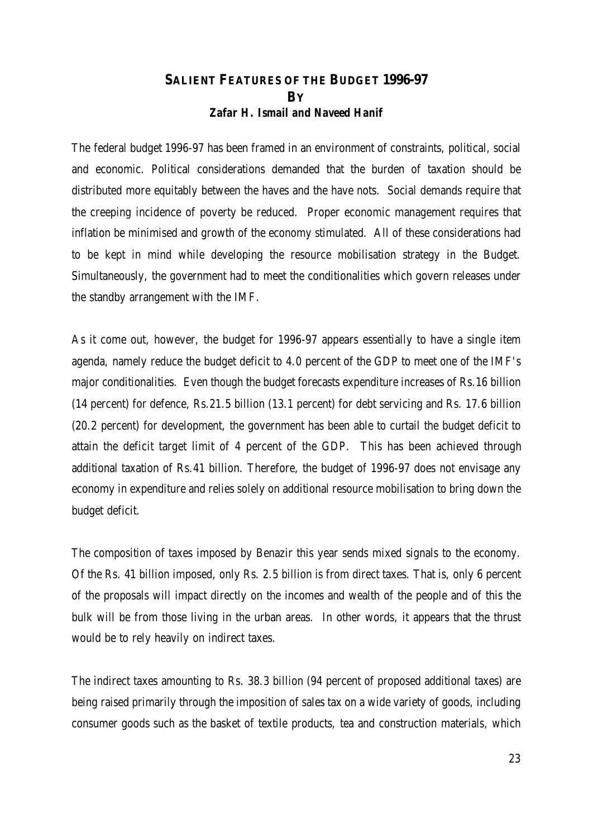## **SALIENT FEATURES OF THE BUDGET 1996-97 BY** *Zafar H. Ismail and Naveed Hanif*

The federal budget 1996-97 has been framed in an environment of constraints, political, social and economic. Political considerations demanded that the burden of taxation should be distributed more equitably between the haves and the have nots. Social demands require that the creeping incidence of poverty be reduced. Proper economic management requires that inflation be minimised and growth of the economy stimulated. All of these considerations had to be kept in mind while developing the resource mobilisation strategy in the Budget. Simultaneously, the government had to meet the conditionalities which govern releases under the standby arrangement with the IMF.

As it come out, however, the budget for 1996-97 appears essentially to have a single item agenda, namely reduce the budget deficit to 4.0 percent of the GDP to meet one of the IMF's major conditionalities. Even though the budget forecasts expenditure increases of Rs.16 billion (14 percent) for defence, Rs.21.5 billion (13.1 percent) for debt servicing and Rs. 17.6 billion (20.2 percent) for development, the government has been able to curtail the budget deficit to attain the deficit target limit of 4 percent of the GDP. This has been achieved through additional taxation of Rs.41 billion. Therefore, the budget of 1996-97 does not envisage any economy in expenditure and relies solely on additional resource mobilisation to bring down the budget deficit.

The composition of taxes imposed by Benazir this year sends mixed signals to the economy. Of the Rs. 41 billion imposed, only Rs. 2.5 billion is from direct taxes. That is, only 6 percent of the proposals will impact directly on the incomes and wealth of the people and of this the bulk will be from those living in the urban areas. In other words, it appears that the thrust would be to rely heavily on indirect taxes.

The indirect taxes amounting to Rs. 38.3 billion (94 percent of proposed additional taxes) are being raised primarily through the imposition of sales tax on a wide variety of goods, including consumer goods such as the basket of textile products, tea and construction materials, which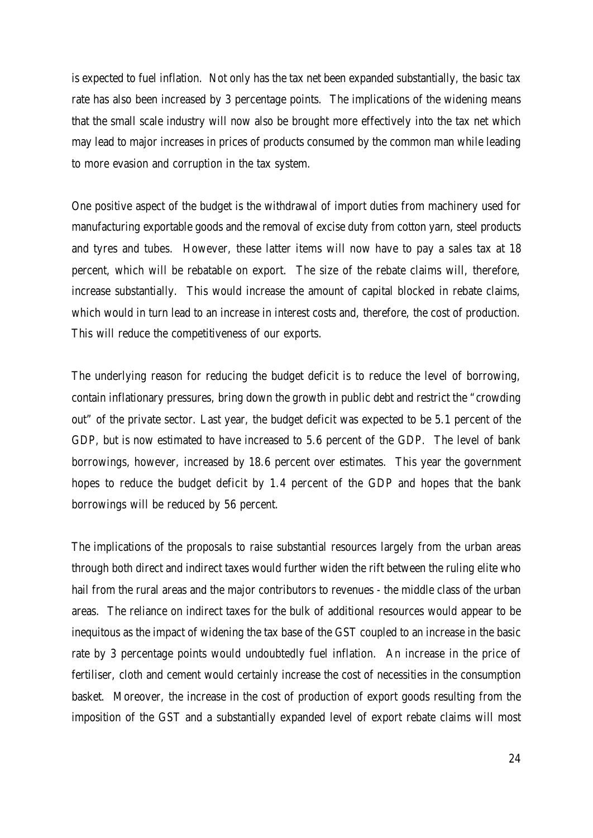is expected to fuel inflation. Not only has the tax net been expanded substantially, the basic tax rate has also been increased by 3 percentage points. The implications of the widening means that the small scale industry will now also be brought more effectively into the tax net which may lead to major increases in prices of products consumed by the common man while leading to more evasion and corruption in the tax system.

One positive aspect of the budget is the withdrawal of import duties from machinery used for manufacturing exportable goods and the removal of excise duty from cotton yarn, steel products and tyres and tubes. However, these latter items will now have to pay a sales tax at 18 percent, which will be rebatable on export. The size of the rebate claims will, therefore, increase substantially. This would increase the amount of capital blocked in rebate claims, which would in turn lead to an increase in interest costs and, therefore, the cost of production. This will reduce the competitiveness of our exports.

The underlying reason for reducing the budget deficit is to reduce the level of borrowing, contain inflationary pressures, bring down the growth in public debt and restrict the "crowding out" of the private sector. Last year, the budget deficit was expected to be 5.1 percent of the GDP, but is now estimated to have increased to 5.6 percent of the GDP. The level of bank borrowings, however, increased by 18.6 percent over estimates. This year the government hopes to reduce the budget deficit by 1.4 percent of the GDP and hopes that the bank borrowings will be reduced by 56 percent.

The implications of the proposals to raise substantial resources largely from the urban areas through both direct and indirect taxes would further widen the rift between the ruling elite who hail from the rural areas and the major contributors to revenues - the middle class of the urban areas. The reliance on indirect taxes for the bulk of additional resources would appear to be inequitous as the impact of widening the tax base of the GST coupled to an increase in the basic rate by 3 percentage points would undoubtedly fuel inflation. An increase in the price of fertiliser, cloth and cement would certainly increase the cost of necessities in the consumption basket. Moreover, the increase in the cost of production of export goods resulting from the imposition of the GST and a substantially expanded level of export rebate claims will most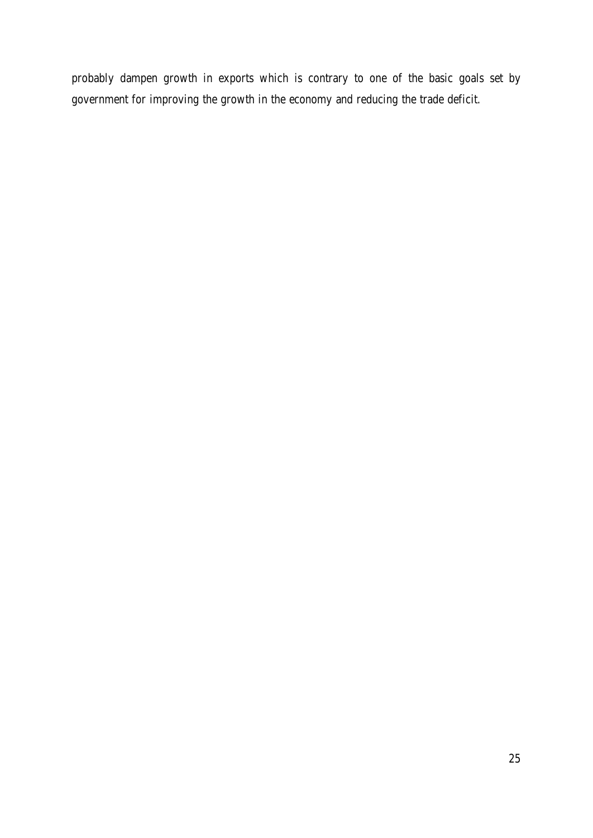probably dampen growth in exports which is contrary to one of the basic goals set by government for improving the growth in the economy and reducing the trade deficit.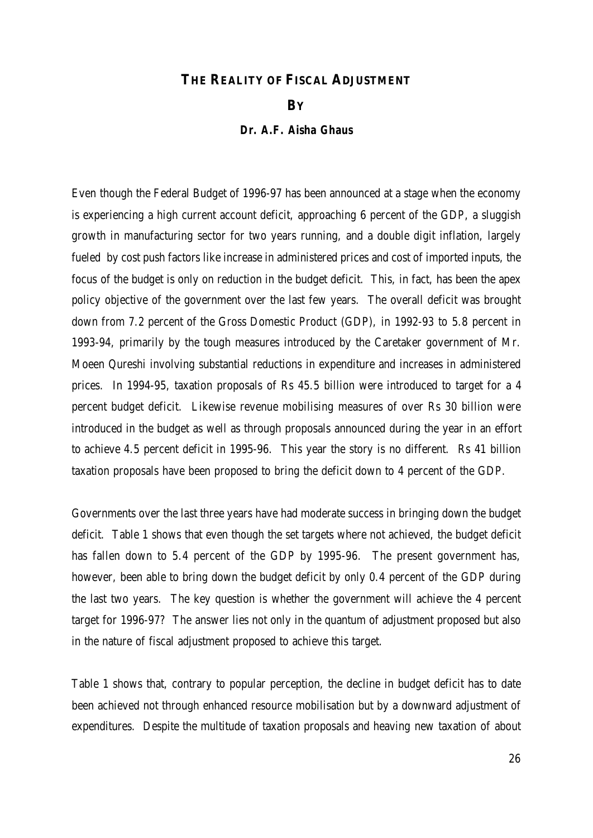### **THE REALITY OF FISCAL ADJUSTMENT**

#### **BY**

#### *Dr. A.F. Aisha Ghaus*

Even though the Federal Budget of 1996-97 has been announced at a stage when the economy is experiencing a high current account deficit, approaching 6 percent of the GDP, a sluggish growth in manufacturing sector for two years running, and a double digit inflation, largely fueled by cost push factors like increase in administered prices and cost of imported inputs, the focus of the budget is only on reduction in the budget deficit. This, in fact, has been the apex policy objective of the government over the last few years. The overall deficit was brought down from 7.2 percent of the Gross Domestic Product (GDP), in 1992-93 to 5.8 percent in 1993-94, primarily by the tough measures introduced by the Caretaker government of Mr. Moeen Qureshi involving substantial reductions in expenditure and increases in administered prices. In 1994-95, taxation proposals of Rs 45.5 billion were introduced to target for a 4 percent budget deficit. Likewise revenue mobilising measures of over Rs 30 billion were introduced in the budget as well as through proposals announced during the year in an effort to achieve 4.5 percent deficit in 1995-96. This year the story is no different. Rs 41 billion taxation proposals have been proposed to bring the deficit down to 4 percent of the GDP.

Governments over the last three years have had moderate success in bringing down the budget deficit. Table 1 shows that even though the set targets where not achieved, the budget deficit has fallen down to 5.4 percent of the GDP by 1995-96. The present government has, however, been able to bring down the budget deficit by only 0.4 percent of the GDP during the last two years. The key question is whether the government will achieve the 4 percent target for 1996-97? The answer lies not only in the quantum of adjustment proposed but also in the nature of fiscal adjustment proposed to achieve this target.

Table 1 shows that, contrary to popular perception, the decline in budget deficit has to date been achieved not through enhanced resource mobilisation but by a downward adjustment of expenditures. Despite the multitude of taxation proposals and heaving new taxation of about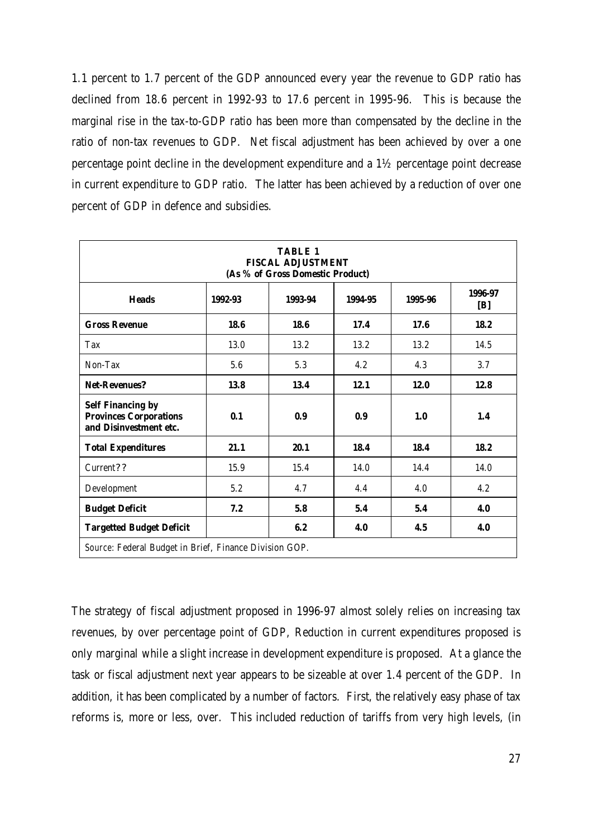1.1 percent to 1.7 percent of the GDP announced every year the revenue to GDP ratio has declined from 18.6 percent in 1992-93 to 17.6 percent in 1995-96. This is because the marginal rise in the tax-to-GDP ratio has been more than compensated by the decline in the ratio of non-tax revenues to GDP. Net fiscal adjustment has been achieved by over a one percentage point decline in the development expenditure and a 1½ percentage point decrease in current expenditure to GDP ratio. The latter has been achieved by a reduction of over one percent of GDP in defence and subsidies.

| <b>TABLE 1</b><br><b>FISCAL ADJUSTMENT</b><br>(As % of Gross Domestic Product)      |                          |         |         |         |                |  |  |  |  |
|-------------------------------------------------------------------------------------|--------------------------|---------|---------|---------|----------------|--|--|--|--|
| <b>Heads</b>                                                                        | 1992-93                  | 1993-94 | 1994-95 | 1995-96 | 1996-97<br>[B] |  |  |  |  |
| <b>Gross Revenue</b>                                                                | 18.6                     | 18.6    | 17.4    | 17.6    | 18.2           |  |  |  |  |
| Tax                                                                                 | 13.0                     | 13.2    | 13.2    | 13.2    | 14.5           |  |  |  |  |
| Non-Tax                                                                             | 5.6                      | 5.3     | 4.2     | 4.3     | 3.7            |  |  |  |  |
| <b>Net-Revenues?</b>                                                                | 13.8                     | 13.4    | 12.1    | 12.0    | 12.8           |  |  |  |  |
| <b>Self Financing by</b><br><b>Provinces Corporations</b><br>and Disinvestment etc. | 0.1                      | 0.9     | 0.9     | 1.0     | 1.4            |  |  |  |  |
| <b>Total Expenditures</b>                                                           | 21.1                     | 20.1    | 18.4    | 18.4    | 18.2           |  |  |  |  |
| Current??                                                                           | 15.9                     | 15.4    | 14.0    | 14.4    | 14.0           |  |  |  |  |
| Development                                                                         | 5.2                      | 4.7     | 4.4     | 4.0     | 4.2            |  |  |  |  |
| <b>Budget Deficit</b>                                                               | 7.2                      | 5.8     | 5.4     | 5.4     | 4.0            |  |  |  |  |
| <b>Targetted Budget Deficit</b>                                                     | 6.2<br>4.0<br>4.5<br>4.0 |         |         |         |                |  |  |  |  |
| Source: Federal Budget in Brief, Finance Division GOP.                              |                          |         |         |         |                |  |  |  |  |

The strategy of fiscal adjustment proposed in 1996-97 almost solely relies on increasing tax revenues, by over percentage point of GDP, Reduction in current expenditures proposed is only marginal while a slight increase in development expenditure is proposed. At a glance the task or fiscal adjustment next year appears to be sizeable at over 1.4 percent of the GDP. In addition, it has been complicated by a number of factors. First, the relatively easy phase of tax reforms is, more or less, over. This included reduction of tariffs from very high levels, (in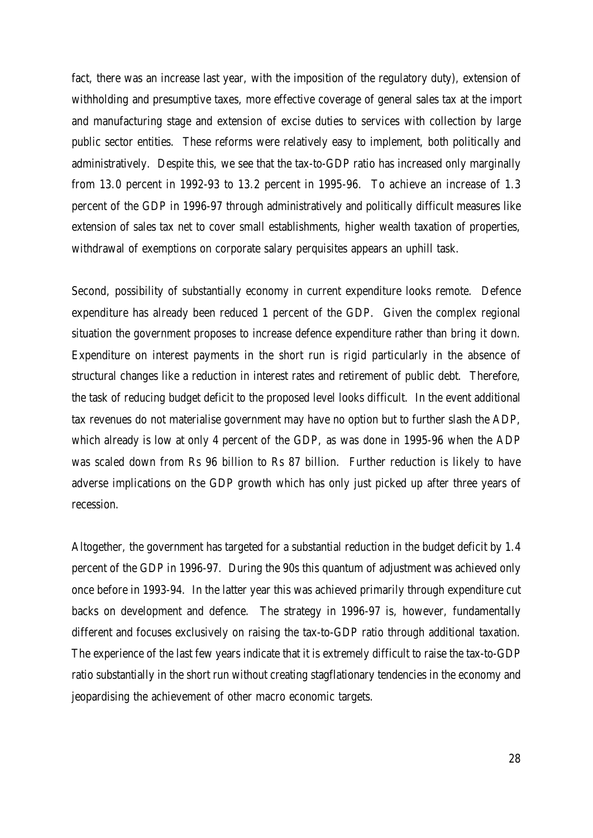fact, there was an increase last year, with the imposition of the regulatory duty), extension of withholding and presumptive taxes, more effective coverage of general sales tax at the import and manufacturing stage and extension of excise duties to services with collection by large public sector entities. These reforms were relatively easy to implement, both politically and administratively. Despite this, we see that the tax-to-GDP ratio has increased only marginally from 13.0 percent in 1992-93 to 13.2 percent in 1995-96. To achieve an increase of 1.3 percent of the GDP in 1996-97 through administratively and politically difficult measures like extension of sales tax net to cover small establishments, higher wealth taxation of properties, withdrawal of exemptions on corporate salary perquisites appears an uphill task.

Second, possibility of substantially economy in current expenditure looks remote. Defence expenditure has already been reduced 1 percent of the GDP. Given the complex regional situation the government proposes to increase defence expenditure rather than bring it down. Expenditure on interest payments in the short run is rigid particularly in the absence of structural changes like a reduction in interest rates and retirement of public debt. Therefore, the task of reducing budget deficit to the proposed level looks difficult. In the event additional tax revenues do not materialise government may have no option but to further slash the ADP, which already is low at only 4 percent of the GDP, as was done in 1995-96 when the ADP was scaled down from Rs 96 billion to Rs 87 billion. Further reduction is likely to have adverse implications on the GDP growth which has only just picked up after three years of recession.

Altogether, the government has targeted for a substantial reduction in the budget deficit by 1.4 percent of the GDP in 1996-97. During the 90s this quantum of adjustment was achieved only once before in 1993-94. In the latter year this was achieved primarily through expenditure cut backs on development and defence. The strategy in 1996-97 is, however, fundamentally different and focuses exclusively on raising the tax-to-GDP ratio through additional taxation. The experience of the last few years indicate that it is extremely difficult to raise the tax-to-GDP ratio substantially in the short run without creating stagflationary tendencies in the economy and jeopardising the achievement of other macro economic targets.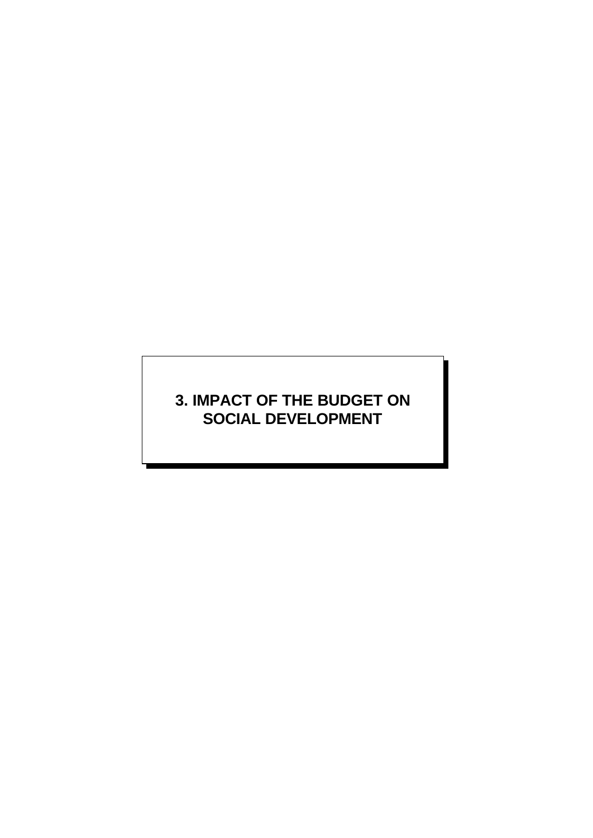# **3. IMPACT OF THE BUDGET ON SOCIAL DEVELOPMENT**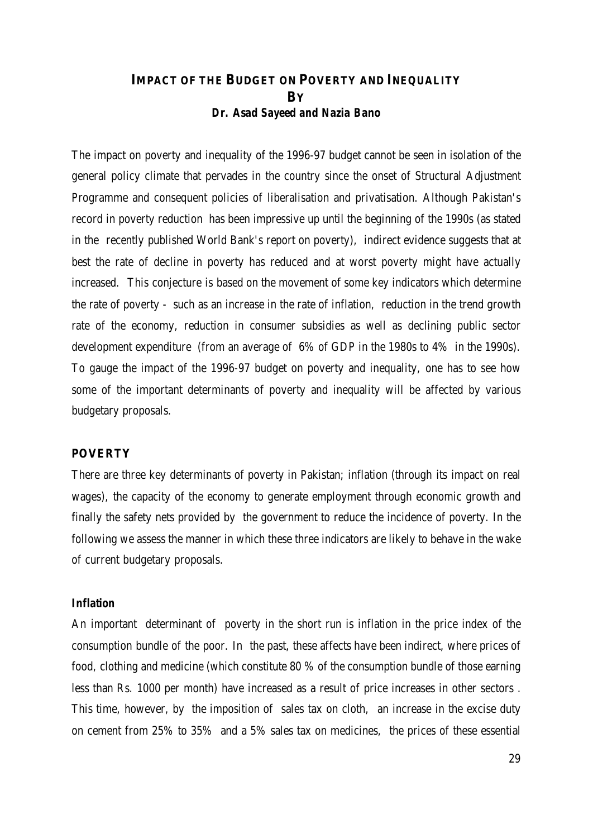## **IMPACT OF THE BUDGET ON POVERTY AND INEQUALITY BY** *Dr. Asad Sayeed and Nazia Bano*

The impact on poverty and inequality of the 1996-97 budget cannot be seen in isolation of the general policy climate that pervades in the country since the onset of Structural Adjustment Programme and consequent policies of liberalisation and privatisation. Although Pakistan's record in poverty reduction has been impressive up until the beginning of the 1990s (as stated in the recently published World Bank's report on poverty), indirect evidence suggests that at best the rate of decline in poverty has reduced and at worst poverty might have actually increased. This conjecture is based on the movement of some key indicators which determine the rate of poverty - such as an increase in the rate of inflation, reduction in the trend growth rate of the economy, reduction in consumer subsidies as well as declining public sector development expenditure (from an average of 6% of GDP in the 1980s to 4% in the 1990s). To gauge the impact of the 1996-97 budget on poverty and inequality, one has to see how some of the important determinants of poverty and inequality will be affected by various budgetary proposals.

#### **POVERTY**

There are three key determinants of poverty in Pakistan; inflation (through its impact on real wages), the capacity of the economy to generate employment through economic growth and finally the safety nets provided by the government to reduce the incidence of poverty. In the following we assess the manner in which these three indicators are likely to behave in the wake of current budgetary proposals.

#### *Inflation*

An important determinant of poverty in the short run is inflation in the price index of the consumption bundle of the poor. In the past, these affects have been indirect, where prices of food, clothing and medicine (which constitute 80 % of the consumption bundle of those earning less than Rs. 1000 per month) have increased as a result of price increases in other sectors . This time, however, by the imposition of sales tax on cloth, an increase in the excise duty on cement from 25% to 35% and a 5% sales tax on medicines, the prices of these essential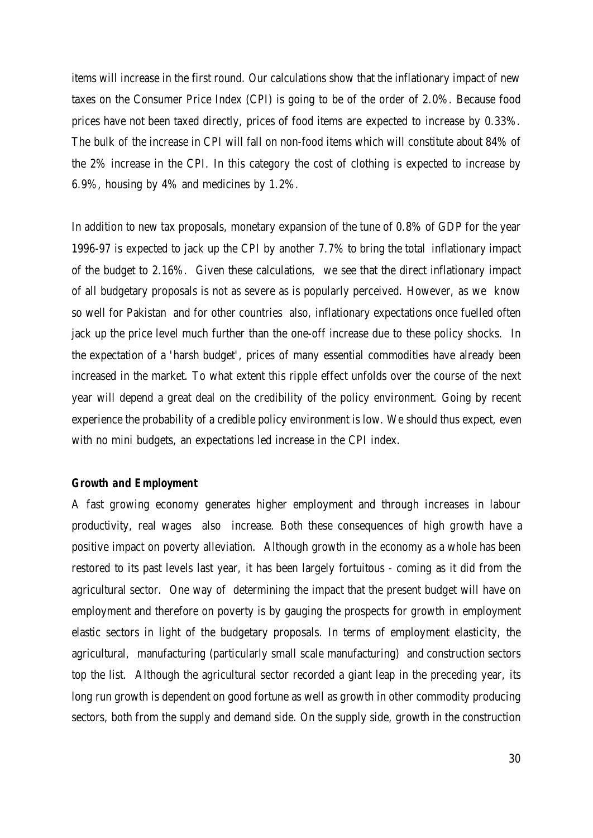items will increase in the first round. Our calculations show that the inflationary impact of new taxes on the Consumer Price Index (CPI) is going to be of the order of 2.0%. Because food prices have not been taxed directly, prices of food items are expected to increase by 0.33%. The bulk of the increase in CPI will fall on non-food items which will constitute about 84% of the 2% increase in the CPI. In this category the cost of clothing is expected to increase by 6.9%, housing by 4% and medicines by 1.2%.

In addition to new tax proposals, monetary expansion of the tune of 0.8% of GDP for the year 1996-97 is expected to jack up the CPI by another 7.7% to bring the total inflationary impact of the budget to 2.16%. Given these calculations, we see that the direct inflationary impact of all budgetary proposals is not as severe as is popularly perceived. However, as we know so well for Pakistan and for other countries also, inflationary expectations once fuelled often jack up the price level much further than the one-off increase due to these policy shocks. In the expectation of a 'harsh budget', prices of many essential commodities have already been increased in the market. To what extent this ripple effect unfolds over the course of the next year will depend a great deal on the credibility of the policy environment. Going by recent experience the probability of a credible policy environment is low. We should thus expect, even with no mini budgets, an expectations led increase in the CPI index.

#### *Growth and Employment*

A fast growing economy generates higher employment and through increases in labour productivity, real wages also increase. Both these consequences of high growth have a positive impact on poverty alleviation. Although growth in the economy as a whole has been restored to its past levels last year, it has been largely fortuitous - coming as it did from the agricultural sector. One way of determining the impact that the present budget will have on employment and therefore on poverty is by gauging the prospects for growth in employment elastic sectors in light of the budgetary proposals. In terms of employment elasticity, the agricultural, manufacturing (particularly small scale manufacturing) and construction sectors top the list. Although the agricultural sector recorded a giant leap in the preceding year, its long run growth is dependent on good fortune as well as growth in other commodity producing sectors, both from the supply and demand side. On the supply side, growth in the construction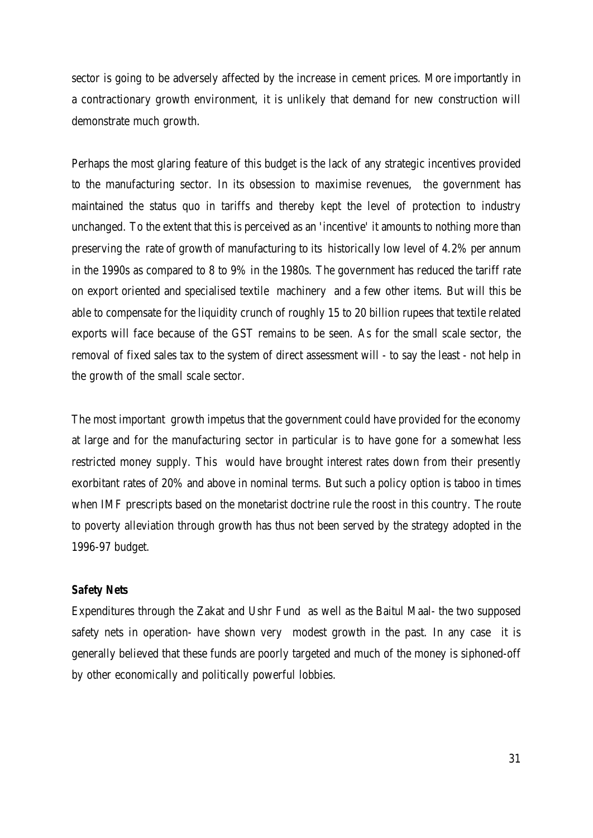sector is going to be adversely affected by the increase in cement prices. More importantly in a contractionary growth environment, it is unlikely that demand for new construction will demonstrate much growth.

Perhaps the most glaring feature of this budget is the lack of any strategic incentives provided to the manufacturing sector. In its obsession to maximise revenues, the government has maintained the status quo in tariffs and thereby kept the level of protection to industry unchanged. To the extent that this is perceived as an 'incentive' it amounts to nothing more than preserving the rate of growth of manufacturing to its historically low level of 4.2% per annum in the 1990s as compared to 8 to 9% in the 1980s. The government has reduced the tariff rate on export oriented and specialised textile machinery and a few other items. But will this be able to compensate for the liquidity crunch of roughly 15 to 20 billion rupees that textile related exports will face because of the GST remains to be seen. As for the small scale sector, the removal of fixed sales tax to the system of direct assessment will - to say the least - not help in the growth of the small scale sector.

The most important growth impetus that the government could have provided for the economy at large and for the manufacturing sector in particular is to have gone for a somewhat less restricted money supply. This would have brought interest rates down from their presently exorbitant rates of 20% and above in nominal terms. But such a policy option is taboo in times when IMF prescripts based on the monetarist doctrine rule the roost in this country. The route to poverty alleviation through growth has thus not been served by the strategy adopted in the 1996-97 budget.

#### *Safety Nets*

Expenditures through the Zakat and Ushr Fund as well as the Baitul Maal- the two supposed safety nets in operation- have shown very modest growth in the past. In any case it is generally believed that these funds are poorly targeted and much of the money is siphoned-off by other economically and politically powerful lobbies.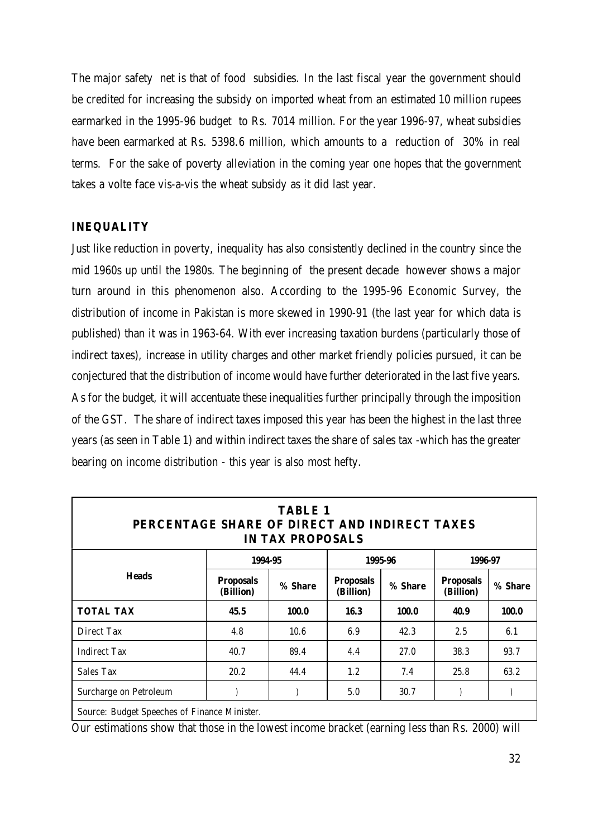The major safety net is that of food subsidies. In the last fiscal year the government should be credited for increasing the subsidy on imported wheat from an estimated 10 million rupees earmarked in the 1995-96 budget to Rs. 7014 million. For the year 1996-97, wheat subsidies have been earmarked at Rs. 5398.6 million, which amounts to a reduction of 30% in real terms. For the sake of poverty alleviation in the coming year one hopes that the government takes a volte face vis-a-vis the wheat subsidy as it did last year.

#### **INEQUALITY**

Just like reduction in poverty, inequality has also consistently declined in the country since the mid 1960s up until the 1980s. The beginning of the present decade however shows a major turn around in this phenomenon also. According to the 1995-96 Economic Survey, the distribution of income in Pakistan is more skewed in 1990-91 (the last year for which data is published) than it was in 1963-64. With ever increasing taxation burdens (particularly those of indirect taxes), increase in utility charges and other market friendly policies pursued, it can be conjectured that the distribution of income would have further deteriorated in the last five years. As for the budget, it will accentuate these inequalities further principally through the imposition of the GST. The share of indirect taxes imposed this year has been the highest in the last three years (as seen in Table 1) and within indirect taxes the share of sales tax -which has the greater bearing on income distribution - this year is also most hefty.

| <b>TABLE 1</b><br>PERCENTAGE SHARE OF DIRECT AND INDIRECT TAXES<br><b>IN TAX PROPOSALS</b> |                               |         |                               |         |                               |         |  |  |  |
|--------------------------------------------------------------------------------------------|-------------------------------|---------|-------------------------------|---------|-------------------------------|---------|--|--|--|
|                                                                                            |                               | 1994-95 |                               | 1995-96 | 1996-97                       |         |  |  |  |
| <b>Heads</b>                                                                               | <b>Proposals</b><br>(Billion) | % Share | <b>Proposals</b><br>(Billion) | % Share | <b>Proposals</b><br>(Billion) | % Share |  |  |  |
| <b>TOTAL TAX</b>                                                                           | 45.5                          | 100.0   | 16.3                          | 100.0   | 40.9                          | 100.0   |  |  |  |
| Direct Tax                                                                                 | 4.8                           | 10.6    | 6.9                           | 42.3    | 2.5                           | 6.1     |  |  |  |
| <b>Indirect Tax</b>                                                                        | 40.7                          | 89.4    | 4.4                           | 27.0    | 38.3                          | 93.7    |  |  |  |
| Sales Tax                                                                                  | 20.2                          | 44.4    | 1.2                           | 7.4     | 25.8                          | 63.2    |  |  |  |
| Surcharge on Petroleum                                                                     |                               |         | 5.0                           | 30.7    |                               |         |  |  |  |
| Source: Budget Speeches of Finance Minister.                                               |                               |         |                               |         |                               |         |  |  |  |

Our estimations show that those in the lowest income bracket (earning less than Rs. 2000) will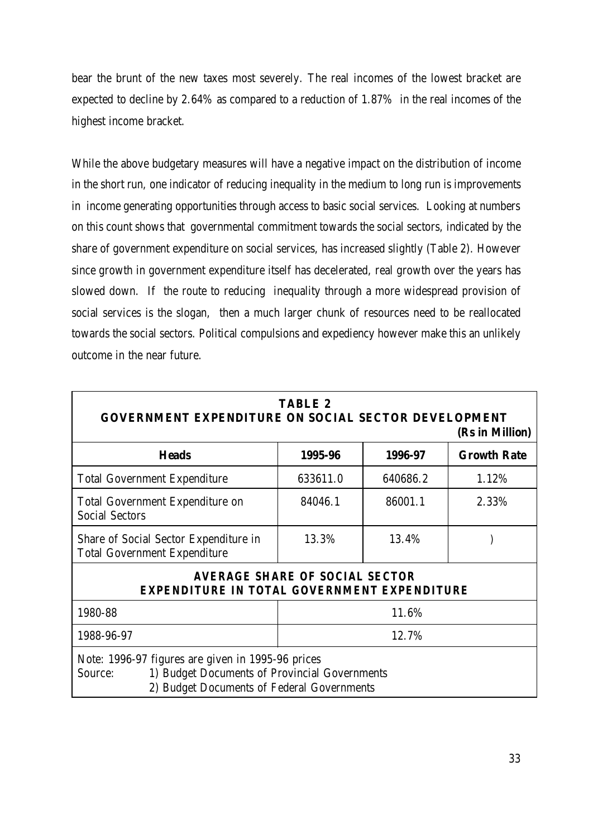bear the brunt of the new taxes most severely. The real incomes of the lowest bracket are expected to decline by 2.64% as compared to a reduction of 1.87% in the real incomes of the highest income bracket.

While the above budgetary measures will have a negative impact on the distribution of income in the short run, one indicator of reducing inequality in the medium to long run is improvements in income generating opportunities through access to basic social services. Looking at numbers on this count shows that governmental commitment towards the social sectors, indicated by the share of government expenditure on social services, has increased slightly (Table 2). However since growth in government expenditure itself has decelerated, real growth over the years has slowed down. If the route to reducing inequality through a more widespread provision of social services is the slogan, then a much larger chunk of resources need to be reallocated towards the social sectors. Political compulsions and expediency however make this an unlikely outcome in the near future.

| <b>GOVERNMENT EXPENDITURE ON SOCIAL SECTOR DEVELOPMENT</b>                                                                                                  | <b>TABLE 2</b> |          | (Rs in Million)    |  |  |
|-------------------------------------------------------------------------------------------------------------------------------------------------------------|----------------|----------|--------------------|--|--|
| <b>Heads</b>                                                                                                                                                | 1995-96        | 1996-97  | <b>Growth Rate</b> |  |  |
| <b>Total Government Expenditure</b>                                                                                                                         | 633611.0       | 640686.2 | 1.12%              |  |  |
| <b>Total Government Expenditure on</b><br><b>Social Sectors</b>                                                                                             | 84046.1        | 86001.1  | 2.33%              |  |  |
| Share of Social Sector Expenditure in<br><b>Total Government Expenditure</b>                                                                                | 13.3%          | 13.4%    |                    |  |  |
| <b>AVERAGE SHARE OF SOCIAL SECTOR</b><br><b>EXPENDITURE IN TOTAL GOVERNMENT EXPENDITURE</b>                                                                 |                |          |                    |  |  |
| 1980-88                                                                                                                                                     |                | 11.6%    |                    |  |  |
| 1988-96-97                                                                                                                                                  | 12.7%          |          |                    |  |  |
| Note: 1996-97 figures are given in 1995-96 prices<br>1) Budget Documents of Provincial Governments<br>Source:<br>2) Budget Documents of Federal Governments |                |          |                    |  |  |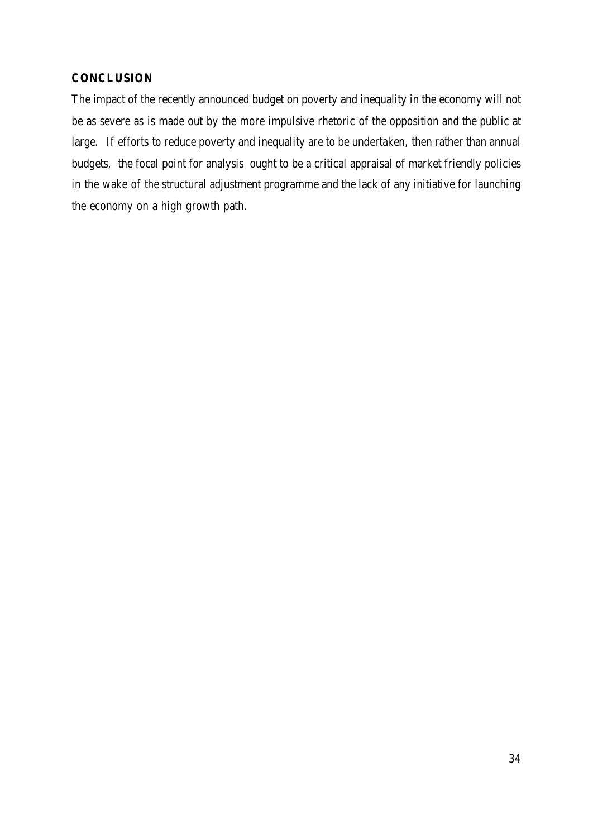## **CONCLUSION**

The impact of the recently announced budget on poverty and inequality in the economy will not be as severe as is made out by the more impulsive rhetoric of the opposition and the public at large. If efforts to reduce poverty and inequality are to be undertaken, then rather than annual budgets, the focal point for analysis ought to be a critical appraisal of market friendly policies in the wake of the structural adjustment programme and the lack of any initiative for launching the economy on a high growth path.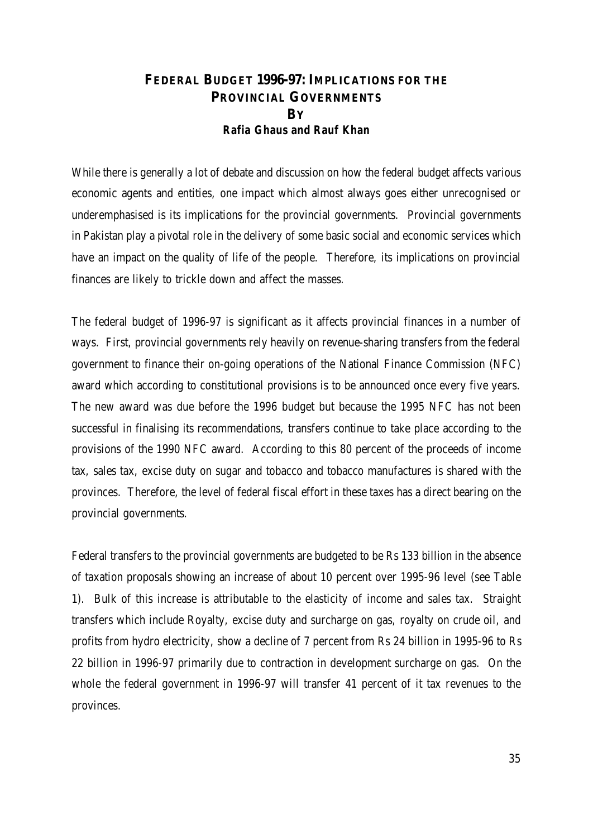## **FEDERAL BUDGET 1996-97:IMPLICATIONS FOR THE PROVINCIAL GOVERNMENTS BY** *Rafia Ghaus and Rauf Khan*

While there is generally a lot of debate and discussion on how the federal budget affects various economic agents and entities, one impact which almost always goes either unrecognised or underemphasised is its implications for the provincial governments. Provincial governments in Pakistan play a pivotal role in the delivery of some basic social and economic services which have an impact on the quality of life of the people. Therefore, its implications on provincial finances are likely to trickle down and affect the masses.

The federal budget of 1996-97 is significant as it affects provincial finances in a number of ways. First, provincial governments rely heavily on revenue-sharing transfers from the federal government to finance their on-going operations of the National Finance Commission (NFC) award which according to constitutional provisions is to be announced once every five years. The new award was due before the 1996 budget but because the 1995 NFC has not been successful in finalising its recommendations, transfers continue to take place according to the provisions of the 1990 NFC award. According to this 80 percent of the proceeds of income tax, sales tax, excise duty on sugar and tobacco and tobacco manufactures is shared with the provinces. Therefore, the level of federal fiscal effort in these taxes has a direct bearing on the provincial governments.

Federal transfers to the provincial governments are budgeted to be Rs 133 billion in the absence of taxation proposals showing an increase of about 10 percent over 1995-96 level (see Table 1). Bulk of this increase is attributable to the elasticity of income and sales tax. Straight transfers which include Royalty, excise duty and surcharge on gas, royalty on crude oil, and profits from hydro electricity, show a decline of 7 percent from Rs 24 billion in 1995-96 to Rs 22 billion in 1996-97 primarily due to contraction in development surcharge on gas. On the whole the federal government in 1996-97 will transfer 41 percent of it tax revenues to the provinces.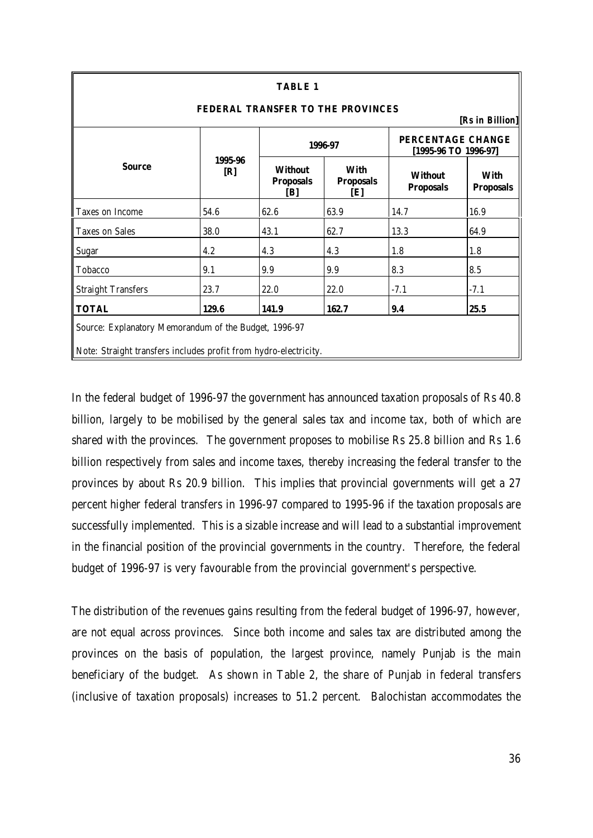| <b>TABLE 1</b><br><b>FEDERAL TRANSFER TO THE PROVINCES</b><br>[Rs in Billion]                                             |                |                                           |                                        |                                           |                                 |  |  |
|---------------------------------------------------------------------------------------------------------------------------|----------------|-------------------------------------------|----------------------------------------|-------------------------------------------|---------------------------------|--|--|
|                                                                                                                           |                |                                           | 1996-97                                | PERCENTAGE CHANGE<br>[1995-96 TO 1996-97] |                                 |  |  |
| <b>Source</b>                                                                                                             | 1995-96<br>[R] | <b>Without</b><br><b>Proposals</b><br>[B] | <b>With</b><br><b>Proposals</b><br>[E] | <b>Without</b><br><b>Proposals</b>        | <b>With</b><br><b>Proposals</b> |  |  |
| Taxes on Income                                                                                                           | 54.6           | 62.6                                      | 63.9                                   | 14.7                                      | 16.9                            |  |  |
| <b>Taxes on Sales</b>                                                                                                     | 38.0           | 43.1                                      | 62.7                                   | 13.3                                      | 64.9                            |  |  |
| <b>Sugar</b>                                                                                                              | 4.2            | 4.3                                       | 4.3                                    | 1.8                                       | 1.8                             |  |  |
| Tobacco                                                                                                                   | 9.1            | 9.9                                       | 9.9                                    | 8.3                                       | 8.5                             |  |  |
| <b>Straight Transfers</b>                                                                                                 | 23.7           | 22.0                                      | 22.0                                   | $-7.1$                                    | $-7.1$                          |  |  |
| <b>TOTAL</b>                                                                                                              | 129.6          | 141.9                                     | 162.7                                  | 9.4                                       | 25.5                            |  |  |
| Source: Explanatory Memorandum of the Budget, 1996-97<br>Note: Straight transfers includes profit from hydro-electricity. |                |                                           |                                        |                                           |                                 |  |  |

In the federal budget of 1996-97 the government has announced taxation proposals of Rs 40.8 billion, largely to be mobilised by the general sales tax and income tax, both of which are shared with the provinces. The government proposes to mobilise Rs 25.8 billion and Rs 1.6 billion respectively from sales and income taxes, thereby increasing the federal transfer to the provinces by about Rs 20.9 billion. This implies that provincial governments will get a 27 percent higher federal transfers in 1996-97 compared to 1995-96 if the taxation proposals are successfully implemented. This is a sizable increase and will lead to a substantial improvement in the financial position of the provincial governments in the country. Therefore, the federal budget of 1996-97 is very favourable from the provincial government's perspective.

The distribution of the revenues gains resulting from the federal budget of 1996-97, however, are not equal across provinces. Since both income and sales tax are distributed among the provinces on the basis of population, the largest province, namely Punjab is the main beneficiary of the budget. As shown in Table 2, the share of Punjab in federal transfers (inclusive of taxation proposals) increases to 51.2 percent. Balochistan accommodates the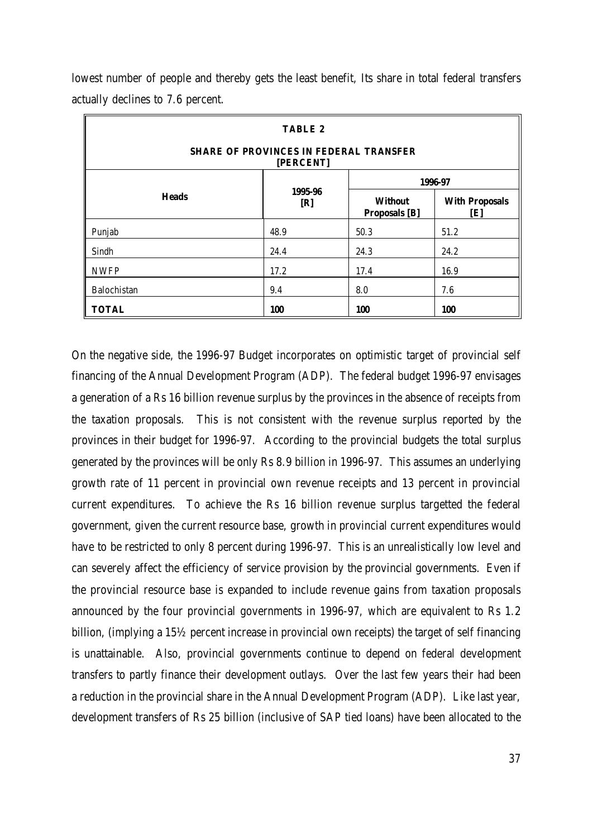| <b>TABLE 2</b><br><b>SHARE OF PROVINCES IN FEDERAL TRANSFER</b> |                         |                                        |                              |  |  |  |
|-----------------------------------------------------------------|-------------------------|----------------------------------------|------------------------------|--|--|--|
| [PERCENT]<br>1996-97                                            |                         |                                        |                              |  |  |  |
| <b>Heads</b>                                                    | 1995-96<br>[ <b>R</b> ] | <b>Without</b><br><b>Proposals</b> [B] | <b>With Proposals</b><br>[E] |  |  |  |
| Punjab                                                          | 48.9                    | 50.3                                   | 51.2                         |  |  |  |
| Sindh                                                           | 24.4                    | 24.3                                   | 24.2                         |  |  |  |
| <b>NWFP</b>                                                     | 17.2                    | 17.4                                   | 16.9                         |  |  |  |
| Balochistan                                                     | 9.4                     | 8.0                                    | 7.6                          |  |  |  |
| <b>TOTAL</b>                                                    | 100                     | 100                                    | <b>100</b>                   |  |  |  |

lowest number of people and thereby gets the least benefit, Its share in total federal transfers actually declines to 7.6 percent.

On the negative side, the 1996-97 Budget incorporates on optimistic target of provincial self financing of the Annual Development Program (ADP). The federal budget 1996-97 envisages a generation of a Rs 16 billion revenue surplus by the provinces in the absence of receipts from the taxation proposals. This is not consistent with the revenue surplus reported by the provinces in their budget for 1996-97. According to the provincial budgets the total surplus generated by the provinces will be only Rs 8.9 billion in 1996-97. This assumes an underlying growth rate of 11 percent in provincial own revenue receipts and 13 percent in provincial current expenditures. To achieve the Rs 16 billion revenue surplus targetted the federal government, given the current resource base, growth in provincial current expenditures would have to be restricted to only 8 percent during 1996-97. This is an unrealistically low level and can severely affect the efficiency of service provision by the provincial governments. Even if the provincial resource base is expanded to include revenue gains from taxation proposals announced by the four provincial governments in 1996-97, which are equivalent to Rs 1.2 billion, (implying a 15½ percent increase in provincial own receipts) the target of self financing is unattainable. Also, provincial governments continue to depend on federal development transfers to partly finance their development outlays. Over the last few years their had been a reduction in the provincial share in the Annual Development Program (ADP). Like last year, development transfers of Rs 25 billion (inclusive of SAP tied loans) have been allocated to the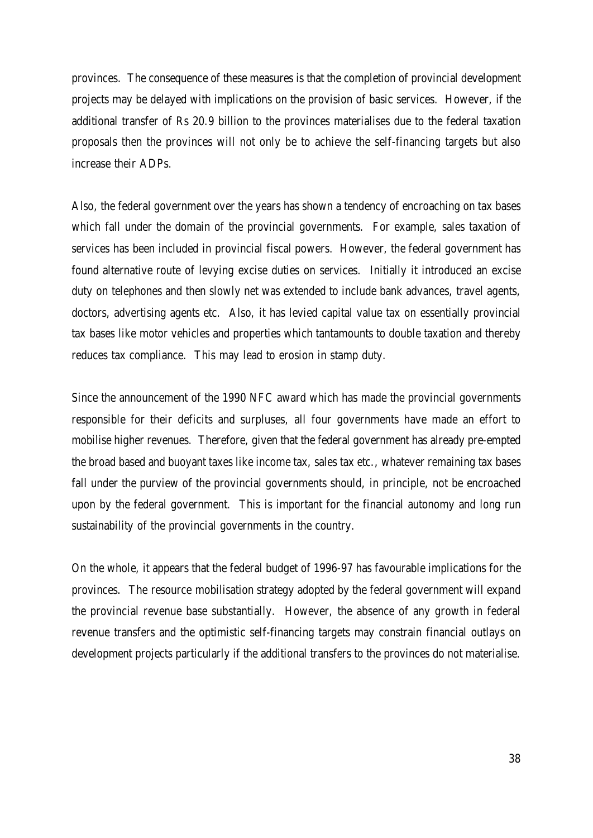provinces. The consequence of these measures is that the completion of provincial development projects may be delayed with implications on the provision of basic services. However, if the additional transfer of Rs 20.9 billion to the provinces materialises due to the federal taxation proposals then the provinces will not only be to achieve the self-financing targets but also increase their ADPs.

Also, the federal government over the years has shown a tendency of encroaching on tax bases which fall under the domain of the provincial governments. For example, sales taxation of services has been included in provincial fiscal powers. However, the federal government has found alternative route of levying excise duties on services. Initially it introduced an excise duty on telephones and then slowly net was extended to include bank advances, travel agents, doctors, advertising agents etc. Also, it has levied capital value tax on essentially provincial tax bases like motor vehicles and properties which tantamounts to double taxation and thereby reduces tax compliance. This may lead to erosion in stamp duty.

Since the announcement of the 1990 NFC award which has made the provincial governments responsible for their deficits and surpluses, all four governments have made an effort to mobilise higher revenues. Therefore, given that the federal government has already pre-empted the broad based and buoyant taxes like income tax, sales tax etc., whatever remaining tax bases fall under the purview of the provincial governments should, in principle, not be encroached upon by the federal government. This is important for the financial autonomy and long run sustainability of the provincial governments in the country.

On the whole, it appears that the federal budget of 1996-97 has favourable implications for the provinces. The resource mobilisation strategy adopted by the federal government will expand the provincial revenue base substantially. However, the absence of any growth in federal revenue transfers and the optimistic self-financing targets may constrain financial outlays on development projects particularly if the additional transfers to the provinces do not materialise.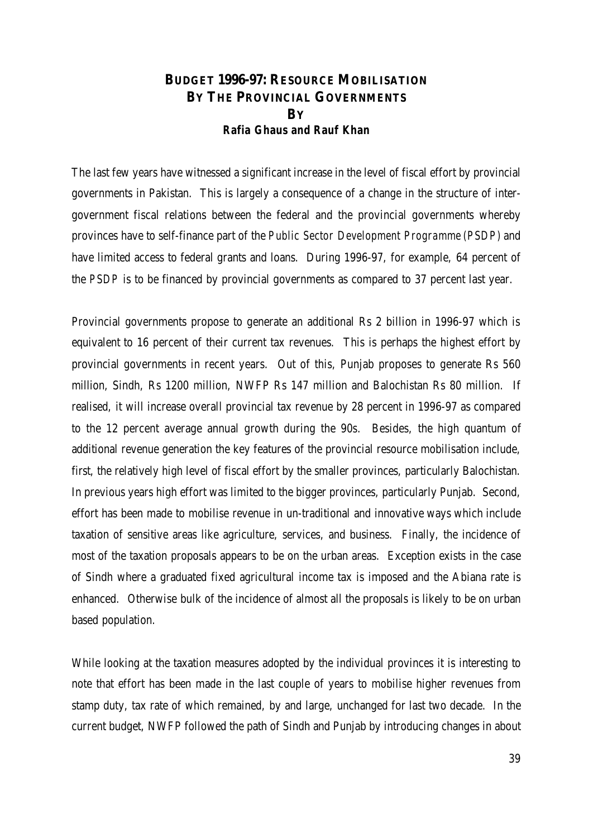## **BUDGET 1996-97: RESOURCE MOBILISATION BY THE PROVINCIAL GOVERNMENTS BY** *Rafia Ghaus and Rauf Khan*

The last few years have witnessed a significant increase in the level of fiscal effort by provincial governments in Pakistan. This is largely a consequence of a change in the structure of intergovernment fiscal relations between the federal and the provincial governments whereby provinces have to self-finance part of the *Public Sector Development Programme (PSDP)* and have limited access to federal grants and loans. During 1996-97, for example, 64 percent of the *PSDP* is to be financed by provincial governments as compared to 37 percent last year.

Provincial governments propose to generate an additional Rs 2 billion in 1996-97 which is equivalent to 16 percent of their current tax revenues. This is perhaps the highest effort by provincial governments in recent years. Out of this, Punjab proposes to generate Rs 560 million, Sindh, Rs 1200 million, NWFP Rs 147 million and Balochistan Rs 80 million. If realised, it will increase overall provincial tax revenue by 28 percent in 1996-97 as compared to the 12 percent average annual growth during the 90s. Besides, the high quantum of additional revenue generation the key features of the provincial resource mobilisation include, first, the relatively high level of fiscal effort by the smaller provinces, particularly Balochistan. In previous years high effort was limited to the bigger provinces, particularly Punjab. Second, effort has been made to mobilise revenue in un-traditional and innovative ways which include taxation of sensitive areas like agriculture, services, and business. Finally, the incidence of most of the taxation proposals appears to be on the urban areas. Exception exists in the case of Sindh where a graduated fixed agricultural income tax is imposed and the Abiana rate is enhanced. Otherwise bulk of the incidence of almost all the proposals is likely to be on urban based population.

While looking at the taxation measures adopted by the individual provinces it is interesting to note that effort has been made in the last couple of years to mobilise higher revenues from stamp duty, tax rate of which remained, by and large, unchanged for last two decade. In the current budget, NWFP followed the path of Sindh and Punjab by introducing changes in about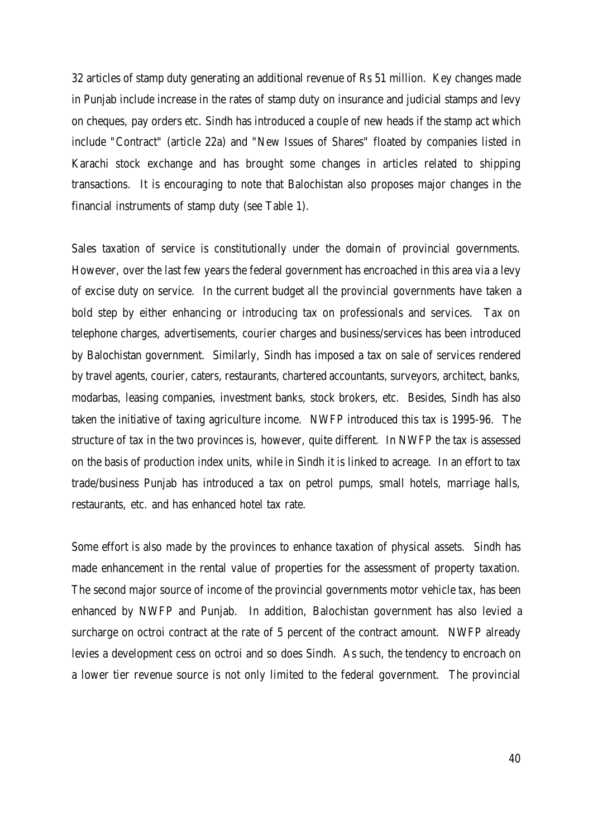32 articles of stamp duty generating an additional revenue of Rs 51 million. Key changes made in Punjab include increase in the rates of stamp duty on insurance and judicial stamps and levy on cheques, pay orders etc. Sindh has introduced a couple of new heads if the stamp act which include "Contract" (article 22a) and "New Issues of Shares" floated by companies listed in Karachi stock exchange and has brought some changes in articles related to shipping transactions. It is encouraging to note that Balochistan also proposes major changes in the financial instruments of stamp duty (see Table 1).

Sales taxation of service is constitutionally under the domain of provincial governments. However, over the last few years the federal government has encroached in this area via a levy of excise duty on service. In the current budget all the provincial governments have taken a bold step by either enhancing or introducing tax on professionals and services. Tax on telephone charges, advertisements, courier charges and business/services has been introduced by Balochistan government. Similarly, Sindh has imposed a tax on sale of services rendered by travel agents, courier, caters, restaurants, chartered accountants, surveyors, architect, banks, modarbas, leasing companies, investment banks, stock brokers, etc. Besides, Sindh has also taken the initiative of taxing agriculture income. NWFP introduced this tax is 1995-96. The structure of tax in the two provinces is, however, quite different. In NWFP the tax is assessed on the basis of production index units, while in Sindh it is linked to acreage. In an effort to tax trade/business Punjab has introduced a tax on petrol pumps, small hotels, marriage halls, restaurants, etc. and has enhanced hotel tax rate.

Some effort is also made by the provinces to enhance taxation of physical assets. Sindh has made enhancement in the rental value of properties for the assessment of property taxation. The second major source of income of the provincial governments motor vehicle tax, has been enhanced by NWFP and Punjab. In addition, Balochistan government has also levied a surcharge on octroi contract at the rate of 5 percent of the contract amount. NWFP already levies a development cess on octroi and so does Sindh. As such, the tendency to encroach on a lower tier revenue source is not only limited to the federal government. The provincial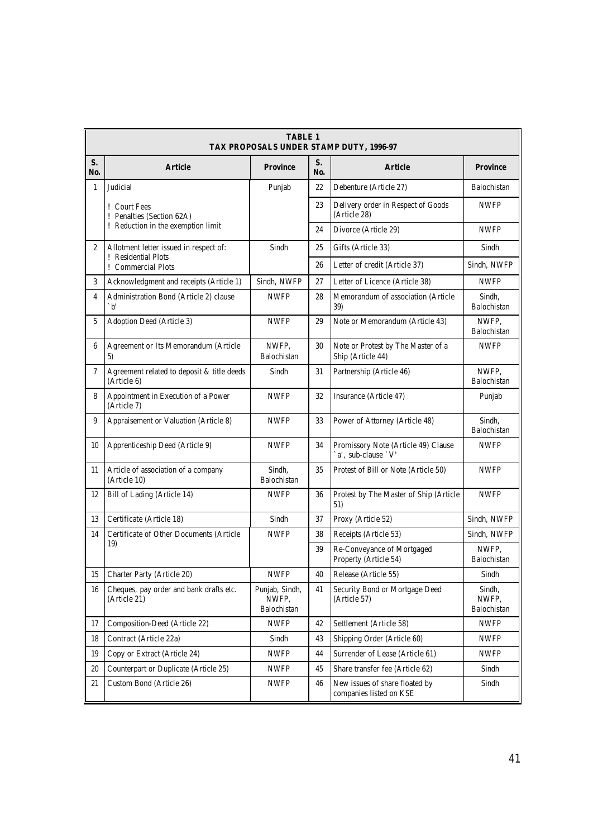|                | <b>TABLE 1</b><br>TAX PROPOSALS UNDER STAMP DUTY, 1996-97            |                                        |           |                                                            |                                |  |  |  |
|----------------|----------------------------------------------------------------------|----------------------------------------|-----------|------------------------------------------------------------|--------------------------------|--|--|--|
| S.<br>No.      | <b>Article</b>                                                       | <b>Province</b>                        | S.<br>No. | <b>Article</b>                                             | <b>Province</b>                |  |  |  |
| $\mathbf{1}$   | Judicial                                                             | Punjab                                 | 22        | Debenture (Article 27)                                     | Balochistan                    |  |  |  |
|                | ! Court Fees<br>! Penalties (Section 62A)                            |                                        | 23        | Delivery order in Respect of Goods<br>(Article 28)         | <b>NWFP</b>                    |  |  |  |
|                | ! Reduction in the exemption limit                                   |                                        | 24        | Divorce (Article 29)                                       | <b>NWFP</b>                    |  |  |  |
| $\mathbf{2}$   | Allotment letter issued in respect of:<br><b>!</b> Residential Plots | Sindh                                  | 25        | Gifts (Article 33)                                         | Sindh                          |  |  |  |
|                | ! Commercial Plots                                                   |                                        | 26        | Letter of credit (Article 37)                              | Sindh. NWFP                    |  |  |  |
| 3              | Acknowledgment and receipts (Article 1)                              | Sindh, NWFP                            | 27        | Letter of Licence (Article 38)                             | <b>NWFP</b>                    |  |  |  |
| $\overline{4}$ | Administration Bond (Article 2) clause<br>$\Delta$                   | <b>NWFP</b>                            | 28        | Memorandum of association (Article<br>39)                  | Sindh,<br>Balochistan          |  |  |  |
| 5              | Adoption Deed (Article 3)                                            | <b>NWFP</b>                            | 29        | Note or Memorandum (Article 43)                            | NWFP.<br>Balochistan           |  |  |  |
| 6              | Agreement or Its Memorandum (Article<br>5)                           | NWFP.<br>Balochistan                   | 30        | Note or Protest by The Master of a<br>Ship (Article 44)    | <b>NWFP</b>                    |  |  |  |
| $\tau$         | Agreement related to deposit & title deeds<br>(Article 6)            | Sindh                                  | 31        | Partnership (Article 46)                                   | NWFP.<br>Balochistan           |  |  |  |
| 8              | Appointment in Execution of a Power<br>(Article 7)                   | <b>NWFP</b>                            | 32        | Insurance (Article 47)                                     | Punjab                         |  |  |  |
| 9              | Appraisement or Valuation (Article 8)                                | <b>NWFP</b>                            | 33        | Power of Attorney (Article 48)                             | Sindh,<br>Balochistan          |  |  |  |
| 10             | Apprenticeship Deed (Article 9)                                      | <b>NWFP</b>                            | 34        | Promissory Note (Article 49) Clause<br>`a', sub-clause `V' | <b>NWFP</b>                    |  |  |  |
| 11             | Article of association of a company<br>(Article 10)                  | Sindh,<br>Balochistan                  | 35        | Protest of Bill or Note (Article 50)                       | <b>NWFP</b>                    |  |  |  |
| 12             | Bill of Lading (Article 14)                                          | <b>NWFP</b>                            | 36        | Protest by The Master of Ship (Article<br>51)              | <b>NWFP</b>                    |  |  |  |
| 13             | Certificate (Article 18)                                             | Sindh                                  | 37        | Proxy (Article 52)                                         | Sindh, NWFP                    |  |  |  |
| 14             | Certificate of Other Documents (Article                              | <b>NWFP</b>                            | 38        | Receipts (Article 53)                                      | Sindh, NWFP                    |  |  |  |
|                | 19)                                                                  |                                        | 39        | Re-Conveyance of Mortgaged<br>Property (Article 54)        | NWFP.<br>Balochistan           |  |  |  |
| 15             | Charter Party (Article 20)                                           | <b>NWFP</b>                            | $40\,$    | Release (Article 55)                                       | Sindh                          |  |  |  |
| 16             | Cheques, pay order and bank drafts etc.<br>(Article 21)              | Punjab, Sindh,<br>NWFP.<br>Balochistan | 41        | Security Bond or Mortgage Deed<br>(Article 57)             | Sindh,<br>NWFP.<br>Balochistan |  |  |  |
| 17             | Composition-Deed (Article 22)                                        | <b>NWFP</b>                            | 42        | Settlement (Article 58)                                    | <b>NWFP</b>                    |  |  |  |
| 18             | Contract (Article 22a)                                               | Sindh                                  | 43        | Shipping Order (Article 60)                                | <b>NWFP</b>                    |  |  |  |
| 19             | Copy or Extract (Article 24)                                         | <b>NWFP</b>                            | 44        | Surrender of Lease (Article 61)                            | <b>NWFP</b>                    |  |  |  |
| 20             | Counterpart or Duplicate (Article 25)                                | <b>NWFP</b>                            | 45        | Share transfer fee (Article 62)                            | Sindh                          |  |  |  |
| 21             | Custom Bond (Article 26)                                             | <b>NWFP</b>                            | 46        | New issues of share floated by<br>companies listed on KSE  | Sindh                          |  |  |  |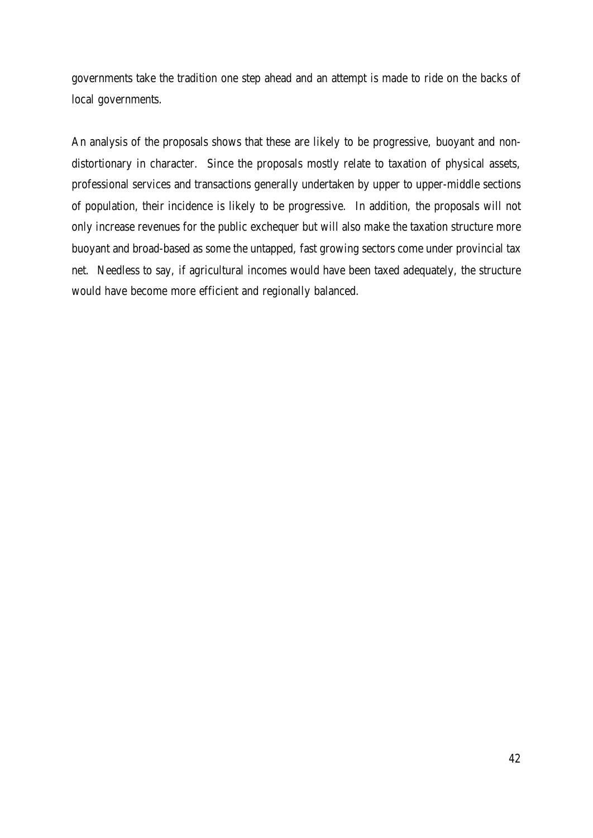governments take the tradition one step ahead and an attempt is made to ride on the backs of local governments.

An analysis of the proposals shows that these are likely to be progressive, buoyant and nondistortionary in character. Since the proposals mostly relate to taxation of physical assets, professional services and transactions generally undertaken by upper to upper-middle sections of population, their incidence is likely to be progressive. In addition, the proposals will not only increase revenues for the public exchequer but will also make the taxation structure more buoyant and broad-based as some the untapped, fast growing sectors come under provincial tax net. Needless to say, if agricultural incomes would have been taxed adequately, the structure would have become more efficient and regionally balanced.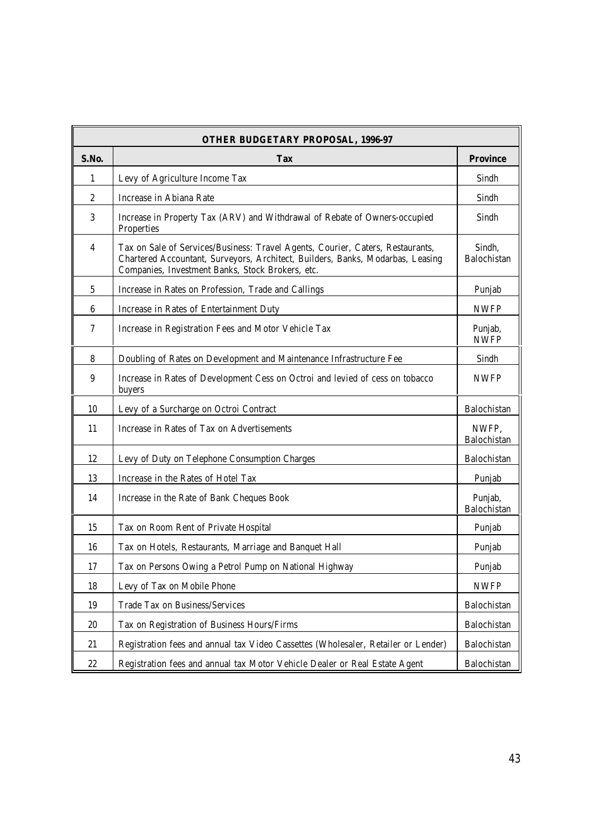| <b>OTHER BUDGETARY PROPOSAL, 1996-97</b> |                                                                                                                                                                                                                      |                        |  |  |  |  |
|------------------------------------------|----------------------------------------------------------------------------------------------------------------------------------------------------------------------------------------------------------------------|------------------------|--|--|--|--|
| S.No.                                    | <b>Tax</b>                                                                                                                                                                                                           | <b>Province</b>        |  |  |  |  |
| 1                                        | Levy of Agriculture Income Tax                                                                                                                                                                                       | Sindh                  |  |  |  |  |
| $\boldsymbol{2}$                         | Increase in Abiana Rate                                                                                                                                                                                              | Sindh                  |  |  |  |  |
| 3                                        | Increase in Property Tax (ARV) and Withdrawal of Rebate of Owners-occupied<br>Properties                                                                                                                             | Sindh                  |  |  |  |  |
| $\overline{\mathbf{4}}$                  | Tax on Sale of Services/Business: Travel Agents, Courier, Caters, Restaurants,<br>Chartered Accountant, Surveyors, Architect, Builders, Banks, Modarbas, Leasing<br>Companies, Investment Banks, Stock Brokers, etc. | Sindh,<br>Balochistan  |  |  |  |  |
| $\overline{5}$                           | Increase in Rates on Profession, Trade and Callings                                                                                                                                                                  | Punjab                 |  |  |  |  |
| $6\phantom{.}6$                          | Increase in Rates of Entertainment Duty                                                                                                                                                                              | <b>NWFP</b>            |  |  |  |  |
| 7                                        | Increase in Registration Fees and Motor Vehicle Tax                                                                                                                                                                  | Punjab,<br><b>NWFP</b> |  |  |  |  |
| 8                                        | Doubling of Rates on Development and Maintenance Infrastructure Fee                                                                                                                                                  | Sindh                  |  |  |  |  |
| $\boldsymbol{9}$                         | Increase in Rates of Development Cess on Octroi and levied of cess on tobacco<br>buyers                                                                                                                              | <b>NWFP</b>            |  |  |  |  |
| 10                                       | Levy of a Surcharge on Octroi Contract                                                                                                                                                                               | Balochistan            |  |  |  |  |
| 11                                       | Increase in Rates of Tax on Advertisements                                                                                                                                                                           | NWFP,<br>Balochistan   |  |  |  |  |
| 12                                       | Levy of Duty on Telephone Consumption Charges                                                                                                                                                                        | Balochistan            |  |  |  |  |
| 13                                       | Increase in the Rates of Hotel Tax                                                                                                                                                                                   | Punjab                 |  |  |  |  |
| 14                                       | Increase in the Rate of Bank Cheques Book                                                                                                                                                                            | Punjab,<br>Balochistan |  |  |  |  |
| 15                                       | Tax on Room Rent of Private Hospital                                                                                                                                                                                 | Punjab                 |  |  |  |  |
| 16                                       | Tax on Hotels, Restaurants, Marriage and Banquet Hall                                                                                                                                                                | Punjab                 |  |  |  |  |
| 17                                       | Tax on Persons Owing a Petrol Pump on National Highway                                                                                                                                                               | Punjab                 |  |  |  |  |
| 18                                       | Levy of Tax on Mobile Phone                                                                                                                                                                                          | <b>NWFP</b>            |  |  |  |  |
| 19                                       | Trade Tax on Business/Services                                                                                                                                                                                       | Balochistan            |  |  |  |  |
| $20\,$                                   | Tax on Registration of Business Hours/Firms                                                                                                                                                                          | Balochistan            |  |  |  |  |
| 21                                       | Registration fees and annual tax Video Cassettes (Wholesaler, Retailer or Lender)                                                                                                                                    | Balochistan            |  |  |  |  |
| 22                                       | Registration fees and annual tax Motor Vehicle Dealer or Real Estate Agent                                                                                                                                           | Balochistan            |  |  |  |  |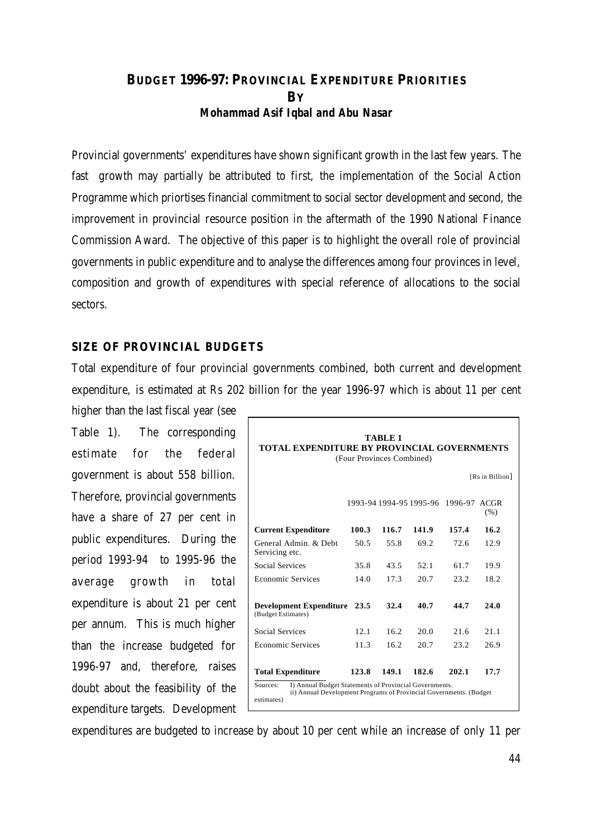## **BUDGET 1996-97: PROVINCIAL EXPENDITURE PRIORITIES BY** *Mohammad Asif Iqbal and Abu Nasar*

Provincial governments' expenditures have shown significant growth in the last few years. The fast growth may partially be attributed to first, the implementation of the Social Action Programme which priortises financial commitment to social sector development and second, the improvement in provincial resource position in the aftermath of the 1990 National Finance Commission Award. The objective of this paper is to highlight the overall role of provincial governments in public expenditure and to analyse the differences among four provinces in level, composition and growth of expenditures with special reference of allocations to the social sectors.

#### **SIZE OF PROVINCIAL BUDGETS**

Total expenditure of four provincial governments combined, both current and development expenditure, is estimated at Rs 202 billion for the year 1996-97 which is about 11 per cent

higher than the last fiscal year (see Table 1). The corresponding estimate for the federal government is about 558 billion. Therefore, provincial governments have a share of 27 per cent in public expenditures. During the period 1993-94 to 1995-96 the average growth in total expenditure is about 21 per cent per annum. This is much higher than the increase budgeted for 1996-97 and, therefore, raises doubt about the feasibility of the expenditure targets. Development

| TABLE 1<br><b>TOTAL EXPENDITURE BY PROVINCIAL GOVERNMENTS</b><br>(Four Provinces Combined)<br>[Rs in Billion]                                                        |       |       |                                 |       |              |  |
|----------------------------------------------------------------------------------------------------------------------------------------------------------------------|-------|-------|---------------------------------|-------|--------------|--|
|                                                                                                                                                                      |       |       | 1993-94 1994-95 1995-96 1996-97 |       | ACGR.<br>(%) |  |
| <b>Current Expenditure</b>                                                                                                                                           | 100.3 | 116.7 | 141.9                           | 157.4 | 16.2         |  |
| General Admin. & Debt<br>Servicing etc.                                                                                                                              | 50.5  | 55.8  | 69.2                            | 72.6  | 12.9         |  |
| <b>Social Services</b>                                                                                                                                               | 35.8  | 43.5  | 52.1                            | 61.7  | 19.9         |  |
| <b>Economic Services</b>                                                                                                                                             | 14.0  | 17.3  | 20.7                            | 23.2  | 18.2         |  |
| <b>Development Expenditure</b><br>(Budget Estimates)                                                                                                                 | 23.5  | 32.4  | 40.7                            | 44.7  | 24.0         |  |
| <b>Social Services</b>                                                                                                                                               | 12.1  | 16.2  | 20.0                            | 21.6  | 21.1         |  |
| <b>Economic Services</b>                                                                                                                                             | 11.3  | 16.2  | 20.7                            | 23.2  | 26.9         |  |
| <b>Total Expenditure</b><br>I) Annual Budget Statements of Provincial Governments.<br>Sources:<br>ii) Annual Development Programs of Provincial Governments. (Budget | 123.8 | 149.1 | 182.6                           | 202.1 | 17.7         |  |
| estimates)                                                                                                                                                           |       |       |                                 |       |              |  |

expenditures are budgeted to increase by about 10 per cent while an increase of only 11 per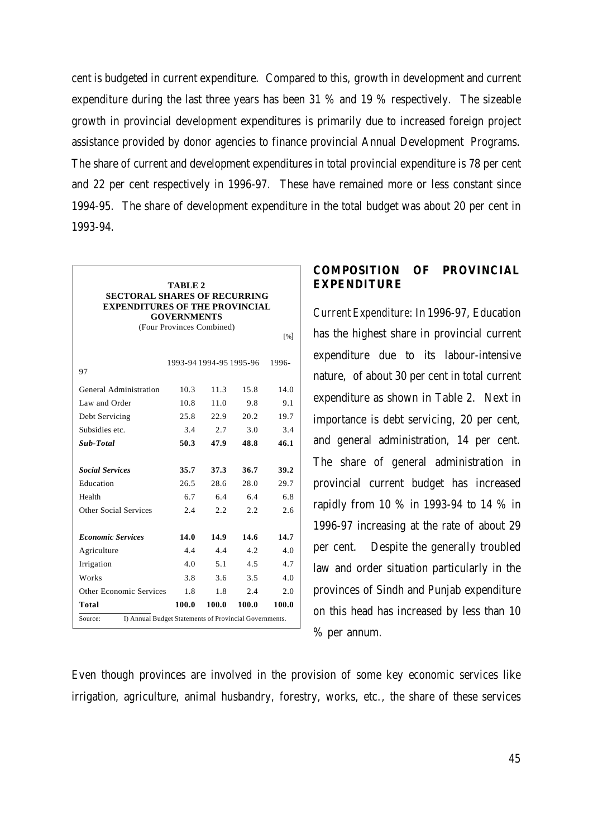cent is budgeted in current expenditure. Compared to this, growth in development and current expenditure during the last three years has been 31 % and 19 % respectively. The sizeable growth in provincial development expenditures is primarily due to increased foreign project assistance provided by donor agencies to finance provincial Annual Development Programs. The share of current and development expenditures in total provincial expenditure is 78 per cent and 22 per cent respectively in 1996-97. These have remained more or less constant since 1994-95. The share of development expenditure in the total budget was about 20 per cent in 1993-94.

| <b>SECTORAL SHARES OF RECURRING</b><br><b>EXPENDITURES OF THE PROVINCIAL</b> | TABLE 2<br><b>GOVERNMENTS</b><br>(Four Provinces Combined) |       | 1993-94 1994-95 1995-96 | [%]<br>1996- |  |  |  |
|------------------------------------------------------------------------------|------------------------------------------------------------|-------|-------------------------|--------------|--|--|--|
| 97                                                                           |                                                            |       |                         |              |  |  |  |
| <b>General Administration</b>                                                | 10.3                                                       | 11.3  | 15.8                    | 14.0         |  |  |  |
| Law and Order                                                                | 10.8                                                       | 11.0  | 9.8                     | 9.1          |  |  |  |
| Debt Servicing                                                               | 25.8                                                       | 22.9  | 20.2                    | 19.7         |  |  |  |
| Subsidies etc.                                                               | 3.4                                                        | 2.7   | 3.0                     | 3.4          |  |  |  |
| <b>Sub-Total</b>                                                             | 50.3                                                       | 47.9  | 48.8                    | 46.1         |  |  |  |
| <b>Social Services</b>                                                       | 35.7                                                       | 37.3  | 36.7                    | 39.2         |  |  |  |
| Education                                                                    | 26.5                                                       | 28.6  | 28.0                    | 29.7         |  |  |  |
| Health                                                                       | 6.7                                                        | 6.4   | 6.4                     | 6.8          |  |  |  |
| <b>Other Social Services</b>                                                 | 2.4                                                        | 2.2   | 2.2                     | 2.6          |  |  |  |
| <b>Economic Services</b>                                                     | 14.0                                                       | 14.9  | 14.6                    | 14.7         |  |  |  |
| Agriculture                                                                  | 4.4                                                        | 4.4   | 4.2.                    | 4.0          |  |  |  |
| Irrigation                                                                   | 4.0                                                        | 5.1   | 4.5                     | 4.7          |  |  |  |
| <b>Works</b>                                                                 | 3.8                                                        | 3.6   | 3.5                     | 4.0          |  |  |  |
| <b>Other Economic Services</b>                                               | 1.8                                                        | 1.8   | 2.4                     | 2.0          |  |  |  |
| Total                                                                        | 100.0                                                      | 100.0 | 100.0                   | 100.0        |  |  |  |
| I) Annual Budget Statements of Provincial Governments.<br>Source:            |                                                            |       |                         |              |  |  |  |

## **COMPOSITION OF PROVINCIAL EXPENDITURE**

*Current Expenditure:* In 1996-97, Education has the highest share in provincial current expenditure due to its labour-intensive nature, of about 30 per cent in total current expenditure as shown in Table 2. Next in importance is debt servicing, 20 per cent, and general administration, 14 per cent. The share of general administration in provincial current budget has increased rapidly from 10 % in 1993-94 to 14 % in 1996-97 increasing at the rate of about 29 per cent. Despite the generally troubled law and order situation particularly in the provinces of Sindh and Punjab expenditure on this head has increased by less than 10 % per annum.

Even though provinces are involved in the provision of some key economic services like irrigation, agriculture, animal husbandry, forestry, works, etc., the share of these services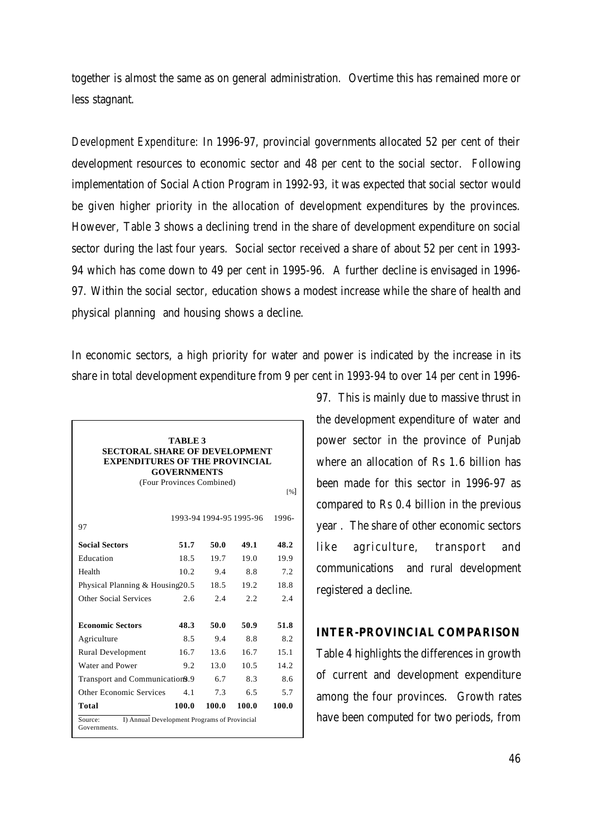together is almost the same as on general administration. Overtime this has remained more or less stagnant.

*Development Expenditure:* In 1996-97, provincial governments allocated 52 per cent of their development resources to economic sector and 48 per cent to the social sector. Following implementation of Social Action Program in 1992-93, it was expected that social sector would be given higher priority in the allocation of development expenditures by the provinces. However, Table 3 shows a declining trend in the share of development expenditure on social sector during the last four years. Social sector received a share of about 52 per cent in 1993- 94 which has come down to 49 per cent in 1995-96. A further decline is envisaged in 1996- 97. Within the social sector, education shows a modest increase while the share of health and physical planning and housing shows a decline.

In economic sectors, a high priority for water and power is indicated by the increase in its share in total development expenditure from 9 per cent in 1993-94 to over 14 per cent in 1996-

| <b>TABLE 3</b><br><b>SECTORAL SHARE OF DEVELOPMENT</b><br><b>EXPENDITURES OF THE PROVINCIAL</b><br><b>GOVERNMENTS</b><br>(Four Provinces Combined)<br>[%] |       |       |                         |       |  |  |  |
|-----------------------------------------------------------------------------------------------------------------------------------------------------------|-------|-------|-------------------------|-------|--|--|--|
| 97                                                                                                                                                        |       |       | 1993-94 1994-95 1995-96 | 1996- |  |  |  |
| <b>Social Sectors</b>                                                                                                                                     | 51.7  | 50.0  | 49.1                    | 48.2  |  |  |  |
| Education                                                                                                                                                 | 18.5  | 19.7  | 19.0                    | 19.9  |  |  |  |
| Health                                                                                                                                                    | 10.2  | 9.4   | 8.8                     | 7.2   |  |  |  |
| Physical Planning & Housing20.5                                                                                                                           |       | 18.5  | 19.2                    | 18.8  |  |  |  |
| <b>Other Social Services</b>                                                                                                                              | 2.6   | 2.4   | 2.2                     | 2.4   |  |  |  |
| <b>Economic Sectors</b>                                                                                                                                   | 48.3  | 50.0  | 50.9                    | 51.8  |  |  |  |
| Agriculture                                                                                                                                               | 8.5   | 9.4   | 8.8                     | 8.2   |  |  |  |
| <b>Rural Development</b>                                                                                                                                  | 16.7  | 13.6  | 16.7                    | 15.1  |  |  |  |
| <b>Water and Power</b>                                                                                                                                    | 9.2   | 13.0  | 10.5                    | 14.2  |  |  |  |
| Transport and Communication9.9                                                                                                                            |       | 6.7   | 8.3                     | 8.6   |  |  |  |
| <b>Other Economic Services</b>                                                                                                                            | 4.1   | 7.3   | 6.5                     | 5.7   |  |  |  |
| Total                                                                                                                                                     | 100.0 | 100.0 | 100.0                   | 100.0 |  |  |  |
| I) Annual Development Programs of Provincial<br>Source:<br>Governments.                                                                                   |       |       |                         |       |  |  |  |

97. This is mainly due to massive thrust in the development expenditure of water and power sector in the province of Punjab where an allocation of Rs 1.6 billion has been made for this sector in 1996-97 as compared to Rs 0.4 billion in the previous year . The share of other economic sectors like agriculture, transport and communications and rural development registered a decline.

### **INTER-PROVINCIAL COMPARISON**

Table 4 highlights the differences in growth of current and development expenditure among the four provinces. Growth rates have been computed for two periods, from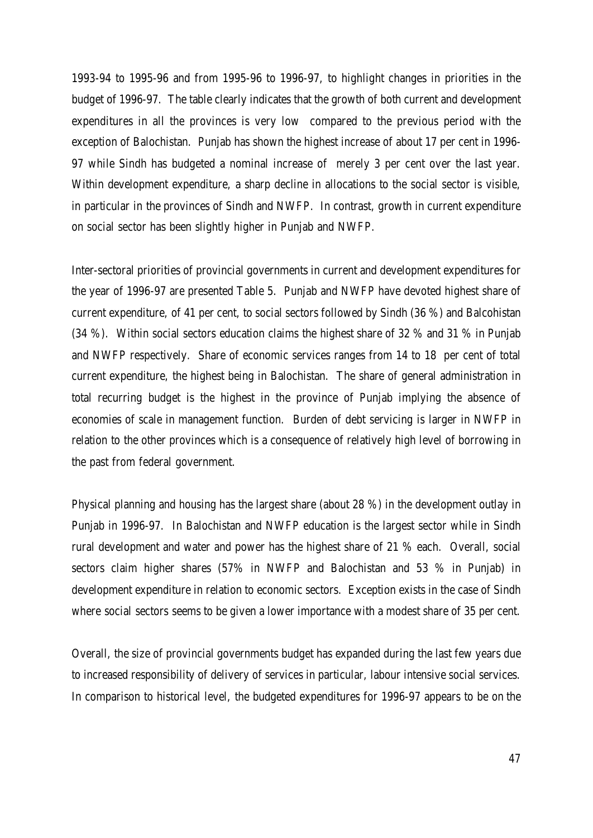1993-94 to 1995-96 and from 1995-96 to 1996-97, to highlight changes in priorities in the budget of 1996-97. The table clearly indicates that the growth of both current and development expenditures in all the provinces is very low compared to the previous period with the exception of Balochistan. Punjab has shown the highest increase of about 17 per cent in 1996- 97 while Sindh has budgeted a nominal increase of merely 3 per cent over the last year. Within development expenditure, a sharp decline in allocations to the social sector is visible, in particular in the provinces of Sindh and NWFP. In contrast, growth in current expenditure on social sector has been slightly higher in Punjab and NWFP.

Inter-sectoral priorities of provincial governments in current and development expenditures for the year of 1996-97 are presented Table 5. Punjab and NWFP have devoted highest share of current expenditure, of 41 per cent, to social sectors followed by Sindh (36 %) and Balcohistan (34 %). Within social sectors education claims the highest share of 32 % and 31 % in Punjab and NWFP respectively. Share of economic services ranges from 14 to 18 per cent of total current expenditure, the highest being in Balochistan. The share of general administration in total recurring budget is the highest in the province of Punjab implying the absence of economies of scale in management function. Burden of debt servicing is larger in NWFP in relation to the other provinces which is a consequence of relatively high level of borrowing in the past from federal government.

Physical planning and housing has the largest share (about 28 %) in the development outlay in Punjab in 1996-97. In Balochistan and NWFP education is the largest sector while in Sindh rural development and water and power has the highest share of 21 % each. Overall, social sectors claim higher shares (57% in NWFP and Balochistan and 53 % in Punjab) in development expenditure in relation to economic sectors. Exception exists in the case of Sindh where social sectors seems to be given a lower importance with a modest share of 35 per cent.

Overall, the size of provincial governments budget has expanded during the last few years due to increased responsibility of delivery of services in particular, labour intensive social services. In comparison to historical level, the budgeted expenditures for 1996-97 appears to be on the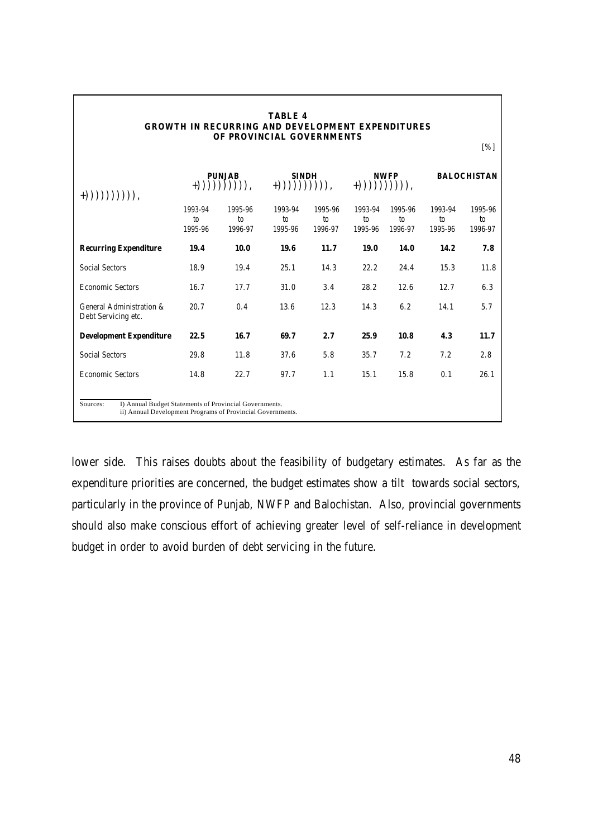| <b>TABLE 4</b><br><b>GROWTH IN RECURRING AND DEVELOPMENT EXPENDITURES</b><br>OF PROVINCIAL GOVERNMENTS<br>[%]                    |                                      |                                      |                                      |                                      |                                      |                                      |                                      |                                      |  |
|----------------------------------------------------------------------------------------------------------------------------------|--------------------------------------|--------------------------------------|--------------------------------------|--------------------------------------|--------------------------------------|--------------------------------------|--------------------------------------|--------------------------------------|--|
| $+))))))))))))$ ),                                                                                                               | <b>PUNJAB</b><br>$+))))))))))))$ ),  |                                      | <b>SINDH</b><br>$+)))))))))))),$     |                                      | <b>NWFP</b><br>$+)))))))))))$ )),    |                                      | <b>BALOCHISTAN</b>                   |                                      |  |
|                                                                                                                                  | 1993-94<br>$\mathfrak{g}$<br>1995-96 | 1995-96<br>$\mathfrak{g}$<br>1996-97 | 1993-94<br>$\mathfrak{g}$<br>1995-96 | 1995-96<br>$\mathfrak{g}$<br>1996-97 | 1993-94<br>$\mathfrak{g}$<br>1995-96 | 1995-96<br>$\mathfrak{g}$<br>1996-97 | 1993-94<br>$\mathfrak{g}$<br>1995-96 | 1995-96<br>$\mathfrak{g}$<br>1996-97 |  |
| <b>Recurring Expenditure</b>                                                                                                     | 19.4                                 | 10.0                                 | 19.6                                 | 11.7                                 | 19.0                                 | 14.0                                 | 14.2                                 | 7.8                                  |  |
| <b>Social Sectors</b>                                                                                                            | 18.9                                 | 19.4                                 | 25.1                                 | 14.3                                 | 22.2                                 | 24.4                                 | 15.3                                 | 11.8                                 |  |
| <b>Economic Sectors</b>                                                                                                          | 16.7                                 | 17.7                                 | 31.0                                 | 3.4                                  | 28.2                                 | 12.6                                 | 12.7                                 | 6.3                                  |  |
| General Administration &<br>Debt Servicing etc.                                                                                  | 20.7                                 | 0.4                                  | 13.6                                 | 12.3                                 | 14.3                                 | 6.2                                  | 14.1                                 | 5.7                                  |  |
| <b>Development Expenditure</b>                                                                                                   | 22.5                                 | 16.7                                 | 69.7                                 | 2.7                                  | 25.9                                 | 10.8                                 | 4.3                                  | 11.7                                 |  |
| <b>Social Sectors</b>                                                                                                            | 29.8                                 | 11.8                                 | 37.6                                 | 5.8                                  | 35.7                                 | 7.2                                  | 7.2                                  | 2.8                                  |  |
| <b>Economic Sectors</b>                                                                                                          | 14.8                                 | 22.7                                 | 97.7                                 | 1.1                                  | 15.1                                 | 15.8                                 | 0.1                                  | 26.1                                 |  |
| I) Annual Budget Statements of Provincial Governments.<br>Sources:<br>ii) Annual Development Programs of Provincial Governments. |                                      |                                      |                                      |                                      |                                      |                                      |                                      |                                      |  |

lower side. This raises doubts about the feasibility of budgetary estimates. As far as the expenditure priorities are concerned, the budget estimates show a tilt towards social sectors, particularly in the province of Punjab, NWFP and Balochistan. Also, provincial governments should also make conscious effort of achieving greater level of self-reliance in development budget in order to avoid burden of debt servicing in the future.

٦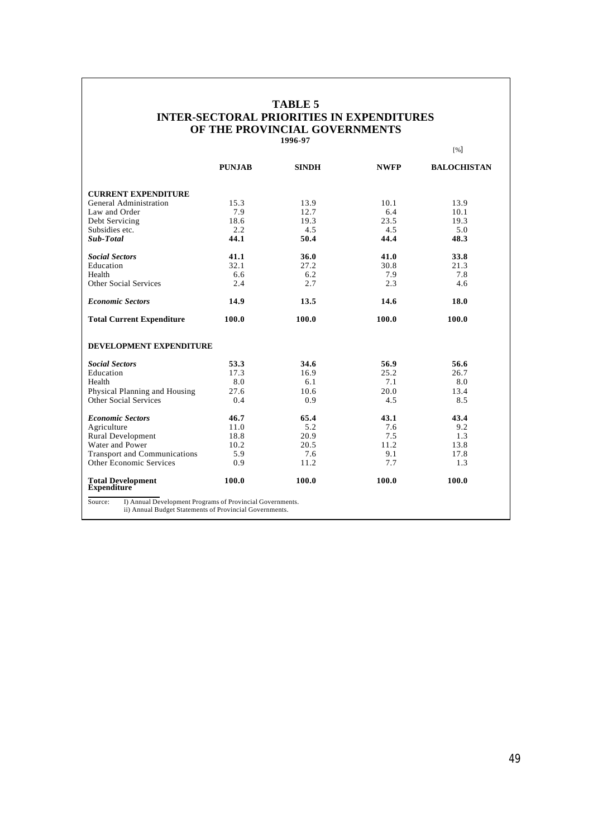#### **TABLE 5 INTER-SECTORAL PRIORITIES IN EXPENDITURES OF THE PROVINCIAL GOVERNMENTS 1996-97**

|                                                                                                                                 |               |              |             | [%]                |  |  |
|---------------------------------------------------------------------------------------------------------------------------------|---------------|--------------|-------------|--------------------|--|--|
|                                                                                                                                 | <b>PUNJAB</b> | <b>SINDH</b> | <b>NWFP</b> | <b>BALOCHISTAN</b> |  |  |
| <b>CURRENT EXPENDITURE</b>                                                                                                      |               |              |             |                    |  |  |
| <b>General Administration</b>                                                                                                   | 15.3          | 13.9         | 10.1        | 13.9               |  |  |
| Law and Order                                                                                                                   | 7.9           | 12.7         | 6.4         | 10.1               |  |  |
| Debt Servicing                                                                                                                  | 18.6          | 19.3         | 23.5        | 19.3               |  |  |
| Subsidies etc.                                                                                                                  | 2.2           | 4.5          | 4.5         | 5.0                |  |  |
| <b>Sub-Total</b>                                                                                                                | 44.1          | 50.4         | 44.4        | 48.3               |  |  |
| <b>Social Sectors</b>                                                                                                           | 41.1          | 36.0         | 41.0        | 33.8               |  |  |
| Education                                                                                                                       | 32.1          | 27.2         | 30.8        | 21.3               |  |  |
| Health                                                                                                                          | 6.6           | 6.2          | 7.9         | 7.8                |  |  |
| <b>Other Social Services</b>                                                                                                    | 2.4           | 2.7          | 2.3         | 4.6                |  |  |
| <b>Economic Sectors</b>                                                                                                         | 14.9          | 13.5         | 14.6        | 18.0               |  |  |
| <b>Total Current Expenditure</b>                                                                                                | 100.0         | 100.0        | 100.0       | 100.0              |  |  |
| DEVELOPMENT EXPENDITURE                                                                                                         |               |              |             |                    |  |  |
| <b>Social Sectors</b>                                                                                                           | 53.3          | 34.6         | 56.9        | 56.6               |  |  |
| Education                                                                                                                       | 17.3          | 16.9         | 25.2        | 26.7               |  |  |
| Health                                                                                                                          | 8.0           | 6.1          | 7.1         | 8.0                |  |  |
| Physical Planning and Housing                                                                                                   | 27.6          | 10.6         | 20.0        | 13.4               |  |  |
| Other Social Services                                                                                                           | 0.4           | 0.9          | 4.5         | 8.5                |  |  |
| <b>Economic Sectors</b>                                                                                                         | 46.7          | 65.4         | 43.1        | 43.4               |  |  |
| Agriculture                                                                                                                     | 11.0          | 5.2          | 7.6         | 9.2                |  |  |
| <b>Rural Development</b>                                                                                                        | 18.8          | 20.9         | 7.5         | 1.3                |  |  |
| <b>Water and Power</b>                                                                                                          | 10.2          | 20.5         | 11.2        | 13.8               |  |  |
| <b>Transport and Communications</b>                                                                                             | 5.9           | 7.6          | 9.1         | 17.8               |  |  |
| <b>Other Economic Services</b>                                                                                                  | 0.9           | 11.2         | 7.7         | 1.3                |  |  |
| <b>Total Development</b><br><b>Expenditure</b>                                                                                  | 100.0         | 100.0        | 100.0       | 100.0              |  |  |
| Source:<br>I) Annual Development Programs of Provincial Governments.<br>ii) Annual Budget Statements of Provincial Governments. |               |              |             |                    |  |  |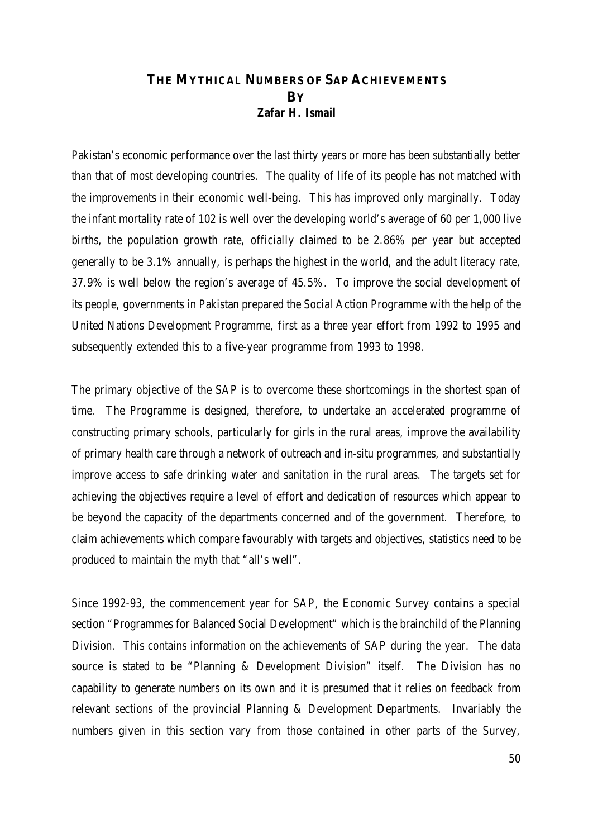## **THE MYTHICAL NUMBERS OF SAP ACHIEVEMENTS BY** *Zafar H. Ismail*

Pakistan's economic performance over the last thirty years or more has been substantially better than that of most developing countries. The quality of life of its people has not matched with the improvements in their economic well-being. This has improved only marginally. Today the infant mortality rate of 102 is well over the developing world's average of 60 per 1,000 live births, the population growth rate, officially claimed to be 2.86% per year but accepted generally to be 3.1% annually, is perhaps the highest in the world, and the adult literacy rate, 37.9% is well below the region's average of 45.5%. To improve the social development of its people, governments in Pakistan prepared the Social Action Programme with the help of the United Nations Development Programme, first as a three year effort from 1992 to 1995 and subsequently extended this to a five-year programme from 1993 to 1998.

The primary objective of the SAP is to overcome these shortcomings in the shortest span of time. The Programme is designed, therefore, to undertake an accelerated programme of constructing primary schools, particularly for girls in the rural areas, improve the availability of primary health care through a network of outreach and in-situ programmes, and substantially improve access to safe drinking water and sanitation in the rural areas. The targets set for achieving the objectives require a level of effort and dedication of resources which appear to be beyond the capacity of the departments concerned and of the government. Therefore, to claim achievements which compare favourably with targets and objectives, statistics need to be produced to maintain the myth that "all's well".

Since 1992-93, the commencement year for SAP, the Economic Survey contains a special section "Programmes for Balanced Social Development" which is the brainchild of the Planning Division. This contains information on the achievements of SAP during the year. The data source is stated to be "Planning & Development Division" itself. The Division has no capability to generate numbers on its own and it is presumed that it relies on feedback from relevant sections of the provincial Planning & Development Departments. Invariably the numbers given in this section vary from those contained in other parts of the Survey,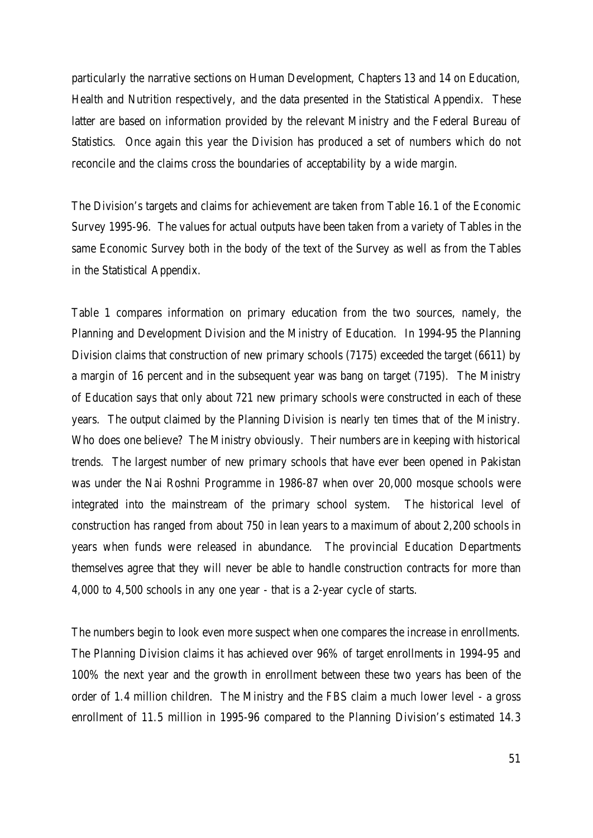particularly the narrative sections on Human Development, Chapters 13 and 14 on Education, Health and Nutrition respectively, and the data presented in the Statistical Appendix. These latter are based on information provided by the relevant Ministry and the Federal Bureau of Statistics. Once again this year the Division has produced a set of numbers which do not reconcile and the claims cross the boundaries of acceptability by a wide margin.

The Division's targets and claims for achievement are taken from Table 16.1 of the Economic Survey 1995-96. The values for actual outputs have been taken from a variety of Tables in the same Economic Survey both in the body of the text of the Survey as well as from the Tables in the Statistical Appendix.

Table 1 compares information on primary education from the two sources, namely, the Planning and Development Division and the Ministry of Education. In 1994-95 the Planning Division claims that construction of new primary schools (7175) exceeded the target (6611) by a margin of 16 percent and in the subsequent year was bang on target (7195). The Ministry of Education says that only about 721 new primary schools were constructed in each of these years. The output claimed by the Planning Division is nearly ten times that of the Ministry. Who does one believe? The Ministry obviously. Their numbers are in keeping with historical trends. The largest number of new primary schools that have ever been opened in Pakistan was under the Nai Roshni Programme in 1986-87 when over 20,000 mosque schools were integrated into the mainstream of the primary school system. The historical level of construction has ranged from about 750 in lean years to a maximum of about 2,200 schools in years when funds were released in abundance. The provincial Education Departments themselves agree that they will never be able to handle construction contracts for more than 4,000 to 4,500 schools in any one year - that is a 2-year cycle of starts.

The numbers begin to look even more suspect when one compares the increase in enrollments. The Planning Division claims it has achieved over 96% of target enrollments in 1994-95 and 100% the next year and the growth in enrollment between these two years has been of the order of 1.4 million children. The Ministry and the FBS claim a much lower level - a gross enrollment of 11.5 million in 1995-96 compared to the Planning Division's estimated 14.3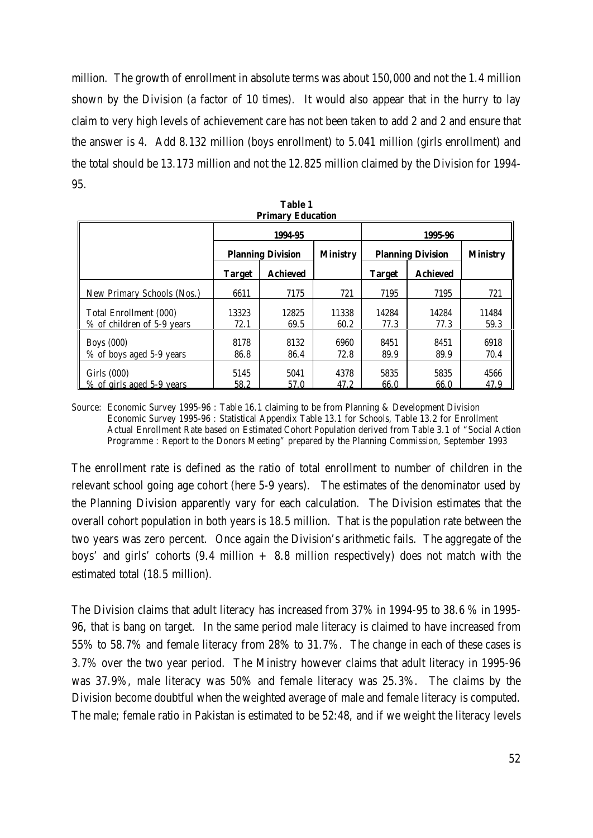million. The growth of enrollment in absolute terms was about 150,000 and not the 1.4 million shown by the Division (a factor of 10 times). It would also appear that in the hurry to lay claim to very high levels of achievement care has not been taken to add 2 and 2 and ensure that the answer is 4. Add 8.132 million (boys enrollment) to 5.041 million (girls enrollment) and the total should be 13.173 million and not the 12.825 million claimed by the Division for 1994- 95.

| 1 1 111141 v<br>Luutativii                           |                          |                 |                 |                          |                 |                 |  |  |
|------------------------------------------------------|--------------------------|-----------------|-----------------|--------------------------|-----------------|-----------------|--|--|
|                                                      |                          | 1994-95         |                 | 1995-96                  |                 |                 |  |  |
|                                                      | <b>Planning Division</b> |                 | <b>Ministry</b> | <b>Planning Division</b> |                 | <b>Ministry</b> |  |  |
|                                                      | <b>Target</b>            | <b>Achieved</b> |                 | <b>Target</b>            | <b>Achieved</b> |                 |  |  |
| New Primary Schools (Nos.)                           | 6611                     | 7175            | 721             | 7195                     | 7195            | 721             |  |  |
| Total Enrollment (000)<br>% of children of 5-9 years | 13323<br>72.1            | 12825<br>69.5   | 11338<br>60.2   | 14284<br>77.3            | 14284<br>77.3   | 11484<br>59.3   |  |  |
| <b>Boys</b> (000)<br>% of boys aged 5-9 years        | 8178<br>86.8             | 8132<br>86.4    | 6960<br>72.8    | 8451<br>89.9             | 8451<br>89.9    | 6918<br>70.4    |  |  |
| Girls $(000)$<br>% of girls aged 5-9 years           | 5145<br>58.2             | 5041<br>57.0    | 4378<br>47.2    | 5835<br>66.0             | 5835<br>66.0    | 4566<br>47.9    |  |  |

**Table 1 Primary Education**

Source: Economic Survey 1995-96 : Table 16.1 claiming to be from Planning & Development Division Economic Survey 1995-96 : Statistical Appendix Table 13.1 for Schools, Table 13.2 for Enrollment Actual Enrollment Rate based on Estimated Cohort Population derived from Table 3.1 of "Social Action Programme : Report to the Donors Meeting" prepared by the Planning Commission, September 1993

The enrollment rate is defined as the ratio of total enrollment to number of children in the relevant school going age cohort (here 5-9 years). The estimates of the denominator used by the Planning Division apparently vary for each calculation. The Division estimates that the overall cohort population in both years is 18.5 million. That is the population rate between the two years was zero percent. Once again the Division's arithmetic fails. The aggregate of the boys' and girls' cohorts  $(9.4 \text{ million} + 8.8 \text{ million respectively})$  does not match with the estimated total (18.5 million).

The Division claims that adult literacy has increased from 37% in 1994-95 to 38.6 % in 1995- 96, that is bang on target. In the same period male literacy is claimed to have increased from 55% to 58.7% and female literacy from 28% to 31.7%. The change in each of these cases is 3.7% over the two year period. The Ministry however claims that adult literacy in 1995-96 was 37.9%, male literacy was 50% and female literacy was 25.3%. The claims by the Division become doubtful when the weighted average of male and female literacy is computed. The male; female ratio in Pakistan is estimated to be 52:48, and if we weight the literacy levels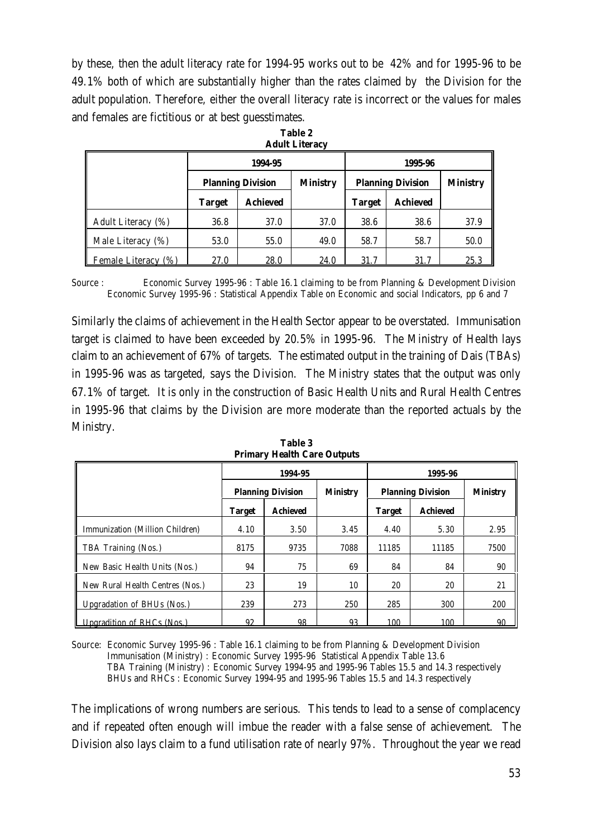by these, then the adult literacy rate for 1994-95 works out to be 42% and for 1995-96 to be 49.1% both of which are substantially higher than the rates claimed by the Division for the adult population. Therefore, either the overall literacy rate is incorrect or the values for males and females are fictitious or at best guesstimates.

| raugh Littlat       |               |                          |                 |                          |                 |      |  |  |
|---------------------|---------------|--------------------------|-----------------|--------------------------|-----------------|------|--|--|
|                     |               | 1994-95                  |                 | 1995-96                  |                 |      |  |  |
|                     |               | <b>Planning Division</b> | <b>Ministry</b> | <b>Planning Division</b> | <b>Ministry</b> |      |  |  |
|                     | <b>Target</b> | <b>Achieved</b>          |                 | <b>Target</b>            | <b>Achieved</b> |      |  |  |
| Adult Literacy (%)  | 36.8          | 37.0                     | 37.0            | 38.6                     | 38.6            | 37.9 |  |  |
| Male Literacy (%)   | 53.0          | 55.0                     | 49.0            | 58.7                     | 58.7            | 50.0 |  |  |
| Female Literacy (%) | 27.0          | 28.0                     | 24.0            | 31.7                     | 31.7            | 25.3 |  |  |

|                       | Table 2 |  |
|-----------------------|---------|--|
| <b>Adult Literacy</b> |         |  |

Source : Economic Survey 1995-96 : Table 16.1 claiming to be from Planning & Development Division Economic Survey 1995-96 : Statistical Appendix Table on Economic and social Indicators, pp 6 and 7

Similarly the claims of achievement in the Health Sector appear to be overstated. Immunisation target is claimed to have been exceeded by 20.5% in 1995-96. The Ministry of Health lays claim to an achievement of 67% of targets. The estimated output in the training of Dais (TBAs) in 1995-96 was as targeted, says the Division. The Ministry states that the output was only 67.1% of target. It is only in the construction of Basic Health Units and Rural Health Centres in 1995-96 that claims by the Division are more moderate than the reported actuals by the Ministry.

|                                   |                          | 1994-95         |                 | 1995-96                  |                 |                 |  |
|-----------------------------------|--------------------------|-----------------|-----------------|--------------------------|-----------------|-----------------|--|
|                                   | <b>Planning Division</b> |                 | <b>Ministry</b> | <b>Planning Division</b> |                 | <b>Ministry</b> |  |
|                                   | <b>Target</b>            | <b>Achieved</b> |                 | <b>Target</b>            | <b>Achieved</b> |                 |  |
| Immunization (Million Children)   | 4.10                     | 3.50            | 3.45            | 4.40                     | 5.30            | 2.95            |  |
| TBA Training (Nos.)               | 8175                     | 9735            | 7088            | 11185                    | 11185           | 7500            |  |
| New Basic Health Units (Nos.)     | 94                       | 75              | 69              | 84                       | 84              | 90              |  |
| New Rural Health Centres (Nos.)   | 23                       | 19              | 10              | 20                       | 20              | 21              |  |
| Upgradation of BHUs (Nos.)        | 239                      | 273             | 250             | 285                      | 300             | 200             |  |
| <b>Ungradition of RHCs (Nos.)</b> | 92                       | 98              | 93              | 100                      | 100             | 90              |  |

**Table 3 Primary Health Care Outputs**

Source: Economic Survey 1995-96 : Table 16.1 claiming to be from Planning & Development Division Immunisation (Ministry) : Economic Survey 1995-96 Statistical Appendix Table 13.6 TBA Training (Ministry) : Economic Survey 1994-95 and 1995-96 Tables 15.5 and 14.3 respectively BHUs and RHCs : Economic Survey 1994-95 and 1995-96 Tables 15.5 and 14.3 respectively

The implications of wrong numbers are serious. This tends to lead to a sense of complacency and if repeated often enough will imbue the reader with a false sense of achievement. The Division also lays claim to a fund utilisation rate of nearly 97%. Throughout the year we read